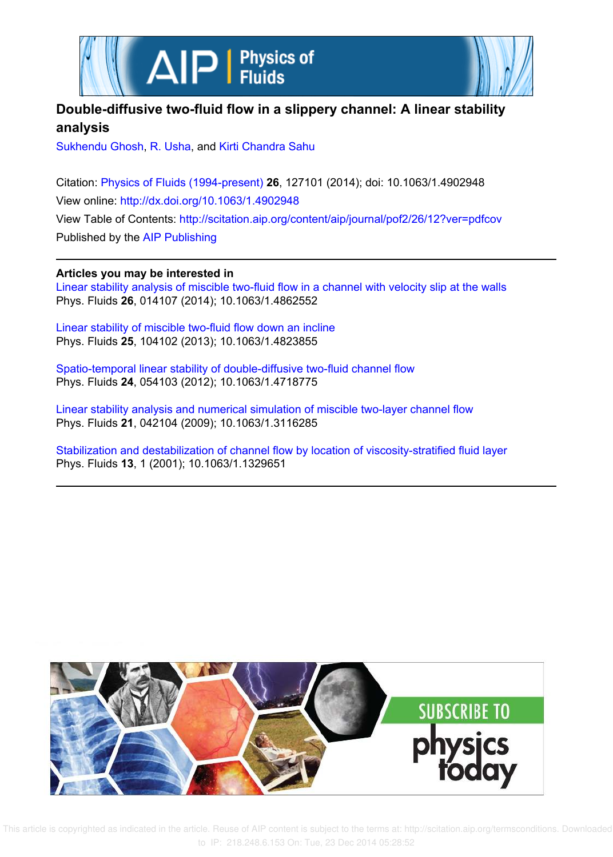



# **Double-diffusive two-fluid flow in a slippery channel: A linear stability analysis**

Sukhendu Ghosh, R. Usha, and Kirti Chandra Sahu

Citation: Physics of Fluids (1994-present) **26**, 127101 (2014); doi: 10.1063/1.4902948 View online: http://dx.doi.org/10.1063/1.4902948 View Table of Contents: http://scitation.aip.org/content/aip/journal/pof2/26/12?ver=pdfcov Published by the AIP Publishing

**Articles you may be interested in**

Linear stability analysis of miscible two-fluid flow in a channel with velocity slip at the walls Phys. Fluids **26**, 014107 (2014); 10.1063/1.4862552

Linear stability of miscible two-fluid flow down an incline Phys. Fluids **25**, 104102 (2013); 10.1063/1.4823855

Spatio-temporal linear stability of double-diffusive two-fluid channel flow Phys. Fluids **24**, 054103 (2012); 10.1063/1.4718775

Linear stability analysis and numerical simulation of miscible two-layer channel flow Phys. Fluids **21**, 042104 (2009); 10.1063/1.3116285

Stabilization and destabilization of channel flow by location of viscosity-stratified fluid layer Phys. Fluids **13**, 1 (2001); 10.1063/1.1329651



 This article is copyrighted as indicated in the article. Reuse of AIP content is subject to the terms at: http://scitation.aip.org/termsconditions. Downloaded to IP: 218.248.6.153 On: Tue, 23 Dec 2014 05:28:52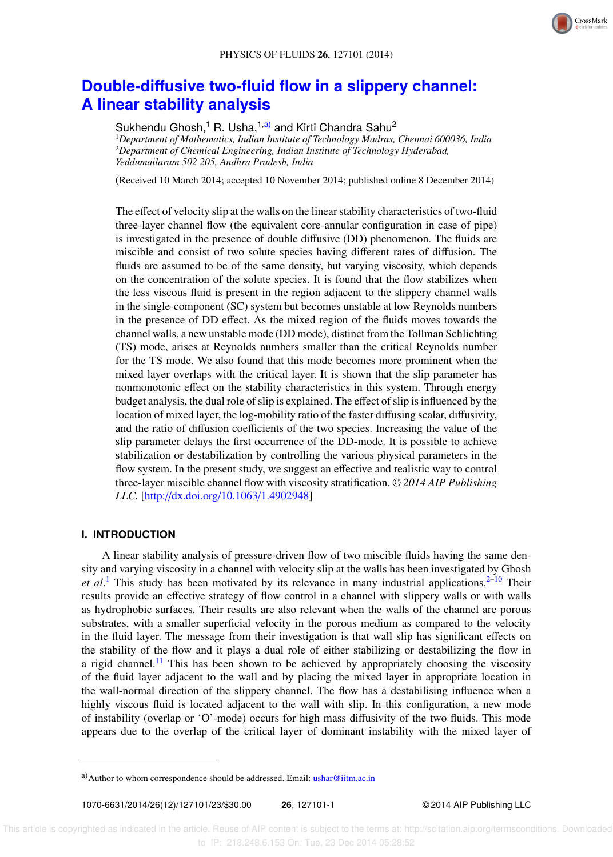

# **Double-diffusive two-fluid flow in a slippery channel: A linear stability analysis**

Sukhendu Ghosh,<sup>1</sup> R. Usha,<sup>1,a)</sup> and Kirti Chandra Sahu<sup>2</sup> <sup>1</sup>*Department of Mathematics, Indian Institute of Technology Madras, Chennai 600036, India* <sup>2</sup>*Department of Chemical Engineering, Indian Institute of Technology Hyderabad, Yeddumailaram 502 205, Andhra Pradesh, India*

(Received 10 March 2014; accepted 10 November 2014; published online 8 December 2014)

The effect of velocity slip at the walls on the linear stability characteristics of two-fluid three-layer channel flow (the equivalent core-annular configuration in case of pipe) is investigated in the presence of double diffusive (DD) phenomenon. The fluids are miscible and consist of two solute species having different rates of diffusion. The fluids are assumed to be of the same density, but varying viscosity, which depends on the concentration of the solute species. It is found that the flow stabilizes when the less viscous fluid is present in the region adjacent to the slippery channel walls in the single-component (SC) system but becomes unstable at low Reynolds numbers in the presence of DD effect. As the mixed region of the fluids moves towards the channel walls, a new unstable mode (DD mode), distinct from the Tollman Schlichting (TS) mode, arises at Reynolds numbers smaller than the critical Reynolds number for the TS mode. We also found that this mode becomes more prominent when the mixed layer overlaps with the critical layer. It is shown that the slip parameter has nonmonotonic effect on the stability characteristics in this system. Through energy budget analysis, the dual role of slip is explained. The effect of slip is influenced by the location of mixed layer, the log-mobility ratio of the faster diffusing scalar, diffusivity, and the ratio of diffusion coefficients of the two species. Increasing the value of the slip parameter delays the first occurrence of the DD-mode. It is possible to achieve stabilization or destabilization by controlling the various physical parameters in the flow system. In the present study, we suggest an effective and realistic way to control three-layer miscible channel flow with viscosity stratification. <sup>C</sup> *2014 AIP Publishing LLC.* [http://dx.doi.org/10.1063/1.4902948]

## **I. INTRODUCTION**

A linear stability analysis of pressure-driven flow of two miscible fluids having the same density and varying viscosity in a channel with velocity slip at the walls has been investigated by Ghosh et al.<sup>1</sup> This study has been motivated by its relevance in many industrial applications.<sup>2–10</sup> Their results provide an effective strategy of flow control in a channel with slippery walls or with walls as hydrophobic surfaces. Their results are also relevant when the walls of the channel are porous substrates, with a smaller superficial velocity in the porous medium as compared to the velocity in the fluid layer. The message from their investigation is that wall slip has significant effects on the stability of the flow and it plays a dual role of either stabilizing or destabilizing the flow in a rigid channel.<sup>11</sup> This has been shown to be achieved by appropriately choosing the viscosity of the fluid layer adjacent to the wall and by placing the mixed layer in appropriate location in the wall-normal direction of the slippery channel. The flow has a destabilising influence when a highly viscous fluid is located adjacent to the wall with slip. In this configuration, a new mode of instability (overlap or 'O'-mode) occurs for high mass diffusivity of the two fluids. This mode appears due to the overlap of the critical layer of dominant instability with the mixed layer of

a) Author to whom correspondence should be addressed. Email: ushar@iitm.ac.in

<sup>1070-6631/2014/26(12)/127101/23/\$30.00</sup> **26**, 127101-1 © 2014 AIP Publishing LLC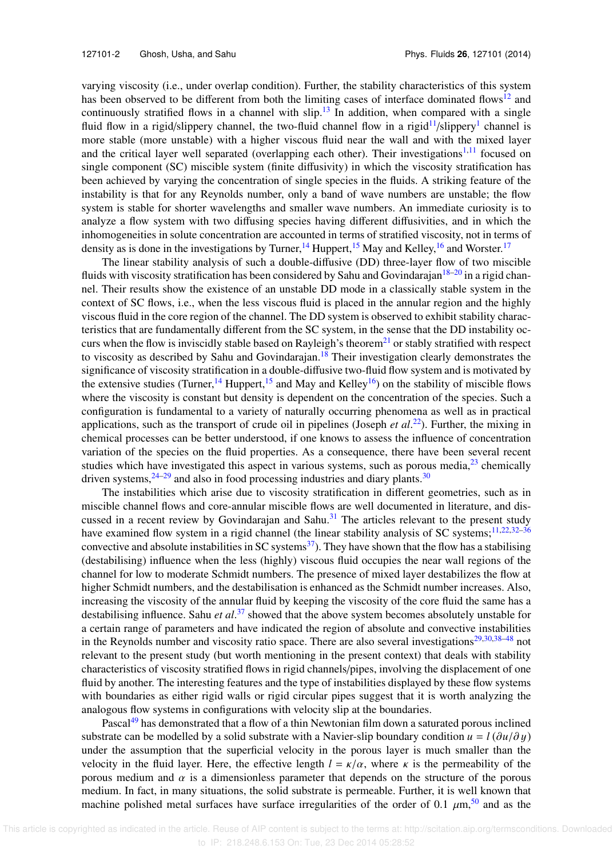varying viscosity (i.e., under overlap condition). Further, the stability characteristics of this system has been observed to be different from both the limiting cases of interface dominated flows<sup>12</sup> and continuously stratified flows in a channel with slip.<sup>13</sup> In addition, when compared with a single fluid flow in a rigid/slippery channel, the two-fluid channel flow in a rigid<sup>11</sup>/slippery<sup>1</sup> channel is more stable (more unstable) with a higher viscous fluid near the wall and with the mixed layer and the critical layer well separated (overlapping each other). Their investigations<sup>1,11</sup> focused on single component (SC) miscible system (finite diffusivity) in which the viscosity stratification has been achieved by varying the concentration of single species in the fluids. A striking feature of the instability is that for any Reynolds number, only a band of wave numbers are unstable; the flow system is stable for shorter wavelengths and smaller wave numbers. An immediate curiosity is to analyze a flow system with two diffusing species having different diffusivities, and in which the inhomogeneities in solute concentration are accounted in terms of stratified viscosity, not in terms of density as is done in the investigations by Turner,  $^{14}$  Huppert,  $^{15}$  May and Kelley,  $^{16}$  and Worster.  $^{17}$ 

The linear stability analysis of such a double-diffusive (DD) three-layer flow of two miscible fluids with viscosity stratification has been considered by Sahu and Govindarajan<sup>18–20</sup> in a rigid channel. Their results show the existence of an unstable DD mode in a classically stable system in the context of SC flows, i.e., when the less viscous fluid is placed in the annular region and the highly viscous fluid in the core region of the channel. The DD system is observed to exhibit stability characteristics that are fundamentally different from the SC system, in the sense that the DD instability occurs when the flow is inviscidly stable based on Rayleigh's theorem<sup>21</sup> or stably stratified with respect to viscosity as described by Sahu and Govindarajan.<sup>18</sup> Their investigation clearly demonstrates the significance of viscosity stratification in a double-diffusive two-fluid flow system and is motivated by the extensive studies (Turner,  $^{14}$  Huppert,  $^{15}$  and May and Kelley<sup>16</sup>) on the stability of miscible flows where the viscosity is constant but density is dependent on the concentration of the species. Such a configuration is fundamental to a variety of naturally occurring phenomena as well as in practical applications, such as the transport of crude oil in pipelines (Joseph *et al.*<sup>22</sup>). Further, the mixing in chemical processes can be better understood, if one knows to assess the influence of concentration variation of the species on the fluid properties. As a consequence, there have been several recent studies which have investigated this aspect in various systems, such as porous media, $^{23}$  chemically driven systems,  $24-29$  and also in food processing industries and diary plants.<sup>30</sup>

The instabilities which arise due to viscosity stratification in different geometries, such as in miscible channel flows and core-annular miscible flows are well documented in literature, and discussed in a recent review by Govindarajan and Sahu.<sup>31</sup> The articles relevant to the present study have examined flow system in a rigid channel (the linear stability analysis of SC systems; $11,22,32-36$ convective and absolute instabilities in SC systems<sup>37</sup>). They have shown that the flow has a stabilising (destabilising) influence when the less (highly) viscous fluid occupies the near wall regions of the channel for low to moderate Schmidt numbers. The presence of mixed layer destabilizes the flow at higher Schmidt numbers, and the destabilisation is enhanced as the Schmidt number increases. Also, increasing the viscosity of the annular fluid by keeping the viscosity of the core fluid the same has a destabilising influence. Sahu *et al*. <sup>37</sup> showed that the above system becomes absolutely unstable for a certain range of parameters and have indicated the region of absolute and convective instabilities in the Reynolds number and viscosity ratio space. There are also several investigations $29,30,38-48$  not relevant to the present study (but worth mentioning in the present context) that deals with stability characteristics of viscosity stratified flows in rigid channels/pipes, involving the displacement of one fluid by another. The interesting features and the type of instabilities displayed by these flow systems with boundaries as either rigid walls or rigid circular pipes suggest that it is worth analyzing the analogous flow systems in configurations with velocity slip at the boundaries.

Pascal<sup>49</sup> has demonstrated that a flow of a thin Newtonian film down a saturated porous inclined substrate can be modelled by a solid substrate with a Navier-slip boundary condition  $u = l(\partial u/\partial y)$ under the assumption that the superficial velocity in the porous layer is much smaller than the velocity in the fluid layer. Here, the effective length  $l = \kappa/\alpha$ , where  $\kappa$  is the permeability of the porous medium and  $\alpha$  is a dimensionless parameter that depends on the structure of the porous medium. In fact, in many situations, the solid substrate is permeable. Further, it is well known that machine polished metal surfaces have surface irregularities of the order of 0.1  $\mu$ m,<sup>50</sup> and as the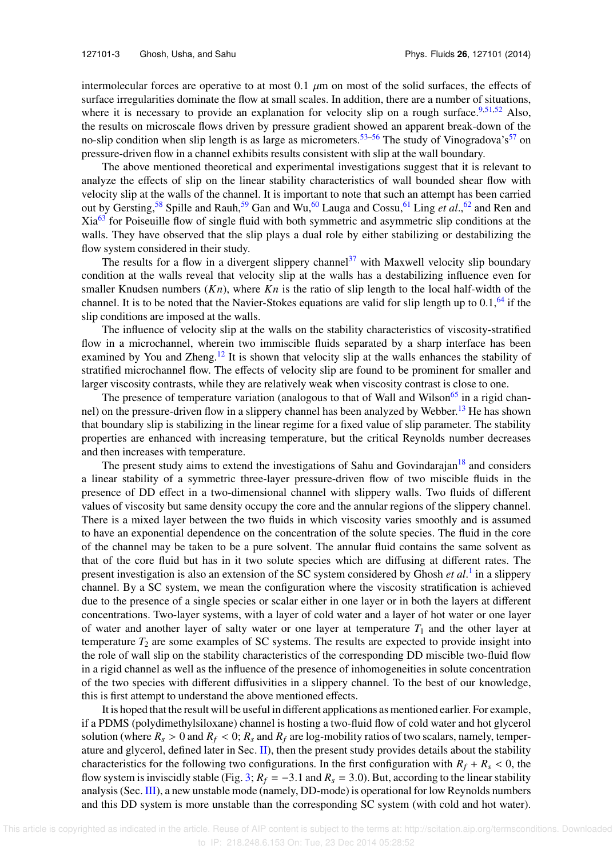intermolecular forces are operative to at most 0.1  $\mu$ m on most of the solid surfaces, the effects of surface irregularities dominate the flow at small scales. In addition, there are a number of situations, where it is necessary to provide an explanation for velocity slip on a rough surface.<sup>9,51,52</sup> Also, the results on microscale flows driven by pressure gradient showed an apparent break-down of the no-slip condition when slip length is as large as micrometers.<sup>53–56</sup> The study of Vinogradova's<sup>57</sup> on pressure-driven flow in a channel exhibits results consistent with slip at the wall boundary.

The above mentioned theoretical and experimental investigations suggest that it is relevant to analyze the effects of slip on the linear stability characteristics of wall bounded shear flow with velocity slip at the walls of the channel. It is important to note that such an attempt has been carried out by Gersting,<sup>58</sup> Spille and Rauh,<sup>59</sup> Gan and Wu,<sup>60</sup> Lauga and Cossu,<sup>61</sup> Ling *et al.*,<sup>62</sup> and Ren and Xia<sup>63</sup> for Poiseuille flow of single fluid with both symmetric and asymmetric slip conditions at the walls. They have observed that the slip plays a dual role by either stabilizing or destabilizing the flow system considered in their study.

The results for a flow in a divergent slippery channel<sup>37</sup> with Maxwell velocity slip boundary condition at the walls reveal that velocity slip at the walls has a destabilizing influence even for smaller Knudsen numbers  $(Kn)$ , where  $Kn$  is the ratio of slip length to the local half-width of the channel. It is to be noted that the Navier-Stokes equations are valid for slip length up to  $0.1$ , <sup>64</sup> if the slip conditions are imposed at the walls.

The influence of velocity slip at the walls on the stability characteristics of viscosity-stratified flow in a microchannel, wherein two immiscible fluids separated by a sharp interface has been examined by You and Zheng.<sup>12</sup> It is shown that velocity slip at the walls enhances the stability of stratified microchannel flow. The effects of velocity slip are found to be prominent for smaller and larger viscosity contrasts, while they are relatively weak when viscosity contrast is close to one.

The presence of temperature variation (analogous to that of Wall and Wilson<sup>65</sup> in a rigid channel) on the pressure-driven flow in a slippery channel has been analyzed by Webber.<sup>13</sup> He has shown that boundary slip is stabilizing in the linear regime for a fixed value of slip parameter. The stability properties are enhanced with increasing temperature, but the critical Reynolds number decreases and then increases with temperature.

The present study aims to extend the investigations of Sahu and Govindarajan<sup>18</sup> and considers a linear stability of a symmetric three-layer pressure-driven flow of two miscible fluids in the presence of DD effect in a two-dimensional channel with slippery walls. Two fluids of different values of viscosity but same density occupy the core and the annular regions of the slippery channel. There is a mixed layer between the two fluids in which viscosity varies smoothly and is assumed to have an exponential dependence on the concentration of the solute species. The fluid in the core of the channel may be taken to be a pure solvent. The annular fluid contains the same solvent as that of the core fluid but has in it two solute species which are diffusing at different rates. The present investigation is also an extension of the SC system considered by Ghosh *et al*. 1 in a slippery channel. By a SC system, we mean the configuration where the viscosity stratification is achieved due to the presence of a single species or scalar either in one layer or in both the layers at different concentrations. Two-layer systems, with a layer of cold water and a layer of hot water or one layer of water and another layer of salty water or one layer at temperature  $T_1$  and the other layer at temperature  $T_2$  are some examples of SC systems. The results are expected to provide insight into the role of wall slip on the stability characteristics of the corresponding DD miscible two-fluid flow in a rigid channel as well as the influence of the presence of inhomogeneities in solute concentration of the two species with different diffusivities in a slippery channel. To the best of our knowledge, this is first attempt to understand the above mentioned effects.

It is hoped that the result will be useful in different applications as mentioned earlier. For example, if a PDMS (polydimethylsiloxane) channel is hosting a two-fluid flow of cold water and hot glycerol solution (where  $R_s > 0$  and  $R_f < 0$ ;  $R_s$  and  $R_f$  are log-mobility ratios of two scalars, namely, temperature and glycerol, defined later in Sec. II), then the present study provides details about the stability characteristics for the following two configurations. In the first configuration with  $R_f + R_s < 0$ , the flow system is inviscidly stable (Fig. 3;  $R_f = -3.1$  and  $R_s = 3.0$ ). But, according to the linear stability analysis (Sec. III), a new unstable mode (namely, DD-mode) is operational for low Reynolds numbers and this DD system is more unstable than the corresponding SC system (with cold and hot water).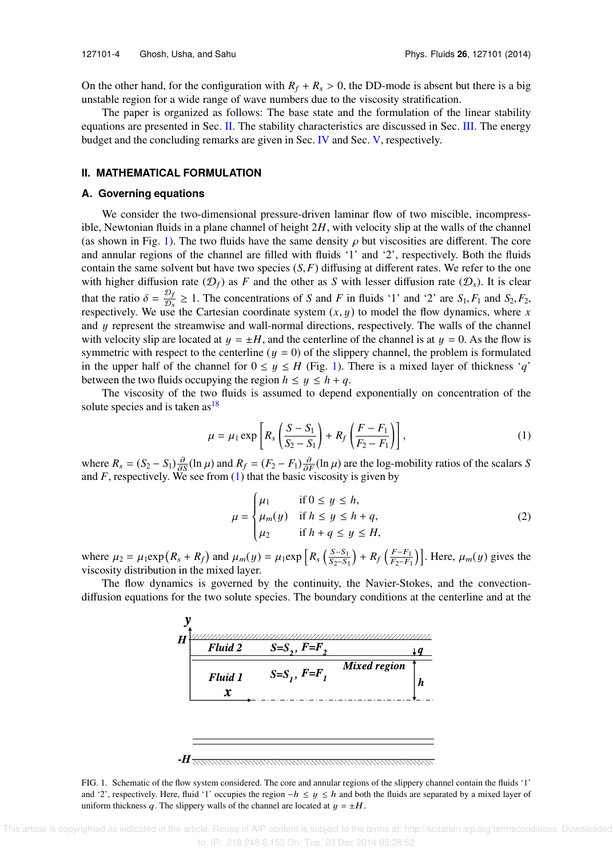On the other hand, for the configuration with  $R_f + R_s > 0$ , the DD-mode is absent but there is a big unstable region for a wide range of wave numbers due to the viscosity stratification.

The paper is organized as follows: The base state and the formulation of the linear stability equations are presented in Sec. II. The stability characteristics are discussed in Sec. III. The energy budget and the concluding remarks are given in Sec. IV and Sec. V, respectively.

### **II. MATHEMATICAL FORMULATION**

#### **A. Governing equations**

We consider the two-dimensional pressure-driven laminar flow of two miscible, incompressible, Newtonian fluids in a plane channel of height 2*H*, with velocity slip at the walls of the channel (as shown in Fig. 1). The two fluids have the same density  $\rho$  but viscosities are different. The core and annular regions of the channel are filled with fluids '1' and '2', respectively. Both the fluids contain the same solvent but have two species  $(S, F)$  diffusing at different rates. We refer to the one with higher diffusion rate  $(D_f)$  as *F* and the other as *S* with lesser diffusion rate  $(D_s)$ . It is clear that the ratio  $\delta = \frac{\mathcal{D}_f}{\mathcal{D}_g}$  $\frac{\partial f}{\partial s} \ge 1$ . The concentrations of *S* and *F* in fluids '1' and '2' are *S*<sub>1</sub>, *F*<sub>1</sub> and *S*<sub>2</sub>, *F*<sub>2</sub>, respectively. We use the Cartesian coordinate system  $(x, y)$  to model the flow dynamics, where  $x$ and  $y$  represent the streamwise and wall-normal directions, respectively. The walls of the channel with velocity slip are located at  $y = \pm H$ , and the centerline of the channel is at  $y = 0$ . As the flow is symmetric with respect to the centerline ( $y = 0$ ) of the slippery channel, the problem is formulated in the upper half of the channel for  $0 \le y \le H$  (Fig. 1). There is a mixed layer of thickness '*q*' between the two fluids occupying the region  $h \leq y \leq h + q$ .

The viscosity of the two fluids is assumed to depend exponentially on concentration of the solute species and is taken  $as<sup>18</sup>$ 

$$
\mu = \mu_1 \exp\left[R_s \left(\frac{S - S_1}{S_2 - S_1}\right) + R_f \left(\frac{F - F_1}{F_2 - F_1}\right)\right],
$$
\n(1)

where  $R_s = (S_2 - S_1) \frac{\partial}{\partial S} (\ln \mu)$  and  $R_f = (F_2 - F_1) \frac{\partial}{\partial F} (\ln \mu)$  are the log-mobility ratios of the scalars *S* and  $F$ , respectively. We see from  $(1)$  that the basic viscosity is given by

$$
\mu = \begin{cases} \mu_1 & \text{if } 0 \le y \le h, \\ \mu_m(y) & \text{if } h \le y \le h + q, \\ \mu_2 & \text{if } h + q \le y \le H, \end{cases} \tag{2}
$$

where  $\mu_2 = \mu_1 \exp(R_s + R_f)$  and  $\mu_m(y) = \mu_1 \exp\left[R_s \left(\frac{S-S_1}{S_2-S_1}\right)\right]$  $\frac{S-S_1}{S_2-S_1}$  +  $R_f$   $\left(\frac{F-F_1}{F_2-F_1}\right)$  $\left[\frac{F-F_1}{F_2-F_1}\right]$ . Here,  $\mu_m(y)$  gives the viscosity distribution in the mixed layer.

The flow dynamics is governed by the continuity, the Navier-Stokes, and the convectiondiffusion equations for the two solute species. The boundary conditions at the centerline and at the



FIG. 1. Schematic of the flow system considered. The core and annular regions of the slippery channel contain the fluids '1' and '2', respectively. Here, fluid '1' occupies the region  $-h \le y \le h$  and both the fluids are separated by a mixed layer of uniform thickness q. The slippery walls of the channel are located at  $y = \pm H$ .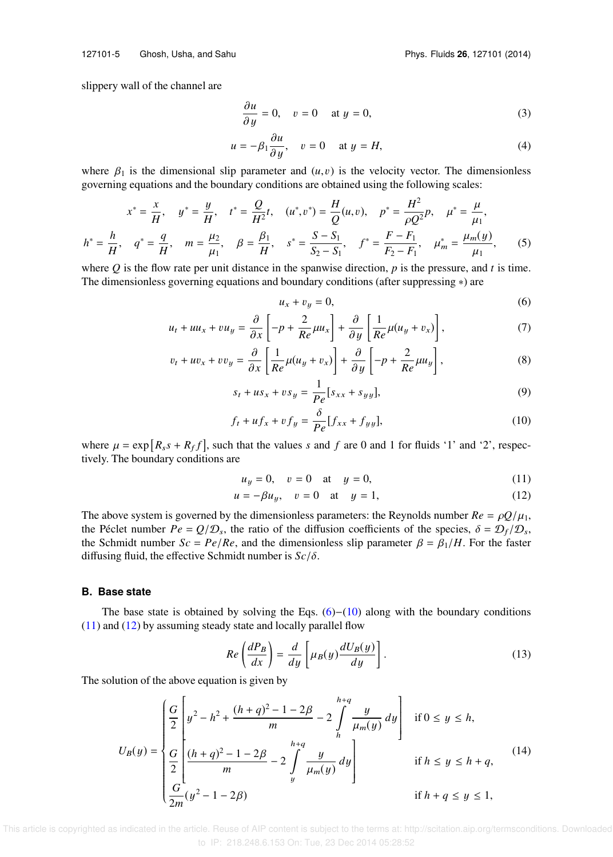slippery wall of the channel are

$$
\frac{\partial u}{\partial y} = 0, \quad v = 0 \quad \text{at } y = 0,
$$
\n(3)

$$
u = -\beta_1 \frac{\partial u}{\partial y}, \quad v = 0 \quad \text{at } y = H,\tag{4}
$$

where  $\beta_1$  is the dimensional slip parameter and  $(u, v)$  is the velocity vector. The dimensionless governing equations and the boundary conditions are obtained using the following scales:

$$
x^* = \frac{x}{H}, \quad y^* = \frac{y}{H}, \quad t^* = \frac{Q}{H^2}t, \quad (u^*, v^*) = \frac{H}{Q}(u, v), \quad p^* = \frac{H^2}{\rho Q^2}p, \quad \mu^* = \frac{\mu}{\mu_1},
$$
  

$$
h^* = \frac{h}{H}, \quad q^* = \frac{q}{H}, \quad m = \frac{\mu_2}{\mu_1}, \quad \beta = \frac{\beta_1}{H}, \quad s^* = \frac{S - S_1}{S_2 - S_1}, \quad f^* = \frac{F - F_1}{F_2 - F_1}, \quad \mu_m^* = \frac{\mu_m(y)}{\mu_1}, \quad (5)
$$

where  $Q$  is the flow rate per unit distance in the spanwise direction,  $p$  is the pressure, and  $t$  is time. The dimensionless governing equations and boundary conditions (after suppressing ∗) are

$$
u_x + v_y = 0,\t\t(6)
$$

$$
u_t + uu_x + vu_y = \frac{\partial}{\partial x} \left[ -p + \frac{2}{Re} \mu u_x \right] + \frac{\partial}{\partial y} \left[ \frac{1}{Re} \mu (u_y + v_x) \right],
$$
 (7)

$$
v_t + uv_x + vv_y = \frac{\partial}{\partial x} \left[ \frac{1}{Re} \mu (u_y + v_x) \right] + \frac{\partial}{\partial y} \left[ -p + \frac{2}{Re} \mu u_y \right],
$$
 (8)

$$
s_t + u s_x + v s_y = \frac{1}{Pe} [s_{xx} + s_{yy}],
$$
\n(9)

$$
f_t + uf_x + vf_y = \frac{\delta}{Pe} [f_{xx} + f_{yy}], \qquad (10)
$$

where  $\mu = \exp[R_s s + R_f f]$ , such that the values *s* and *f* are 0 and 1 for fluids '1' and '2', respectively. The boundary conditions are

$$
u_y = 0
$$
,  $v = 0$  at  $y = 0$ , (11)

$$
u = -\beta u_y, \quad v = 0 \quad \text{at} \quad y = 1,\tag{12}
$$

The above system is governed by the dimensionless parameters: the Reynolds number  $Re = \rho Q/\mu_1$ , the Péclet number  $Pe = Q/D_s$ , the ratio of the diffusion coefficients of the species,  $\delta = D_f/D_s$ , the Schmidt number  $Sc = Pe/Re$ , and the dimensionless slip parameter  $\beta = \beta_1/H$ . For the faster diffusing fluid, the effective Schmidt number is *Sc*/δ.

#### **B. Base state**

The base state is obtained by solving the Eqs.  $(6)–(10)$  along with the boundary conditions (11) and (12) by assuming steady state and locally parallel flow

$$
Re\left(\frac{dP_B}{dx}\right) = \frac{d}{dy}\left[\mu_B(y)\frac{dU_B(y)}{dy}\right].
$$
\n(13)

The solution of the above equation is given by

$$
U_B(y) = \begin{cases} \frac{G}{2} \left[ y^2 - h^2 + \frac{(h+q)^2 - 1 - 2\beta}{m} - 2 \int_h^{h+q} \frac{y}{\mu_m(y)} dy \right] & \text{if } 0 \le y \le h, \\ \frac{G}{2} \left[ \frac{(h+q)^2 - 1 - 2\beta}{m} - 2 \int_y^{h+q} \frac{y}{\mu_m(y)} dy \right] & \text{if } h \le y \le h+q, \\ \frac{G}{2m} (y^2 - 1 - 2\beta) & \text{if } h+q \le y \le 1, \end{cases} \tag{14}
$$

 This article is copyrighted as indicated in the article. Reuse of AIP content is subject to the terms at: http://scitation.aip.org/termsconditions. Downloaded to IP: 218.248.6.153 On: Tue, 23 Dec 2014 05:28:52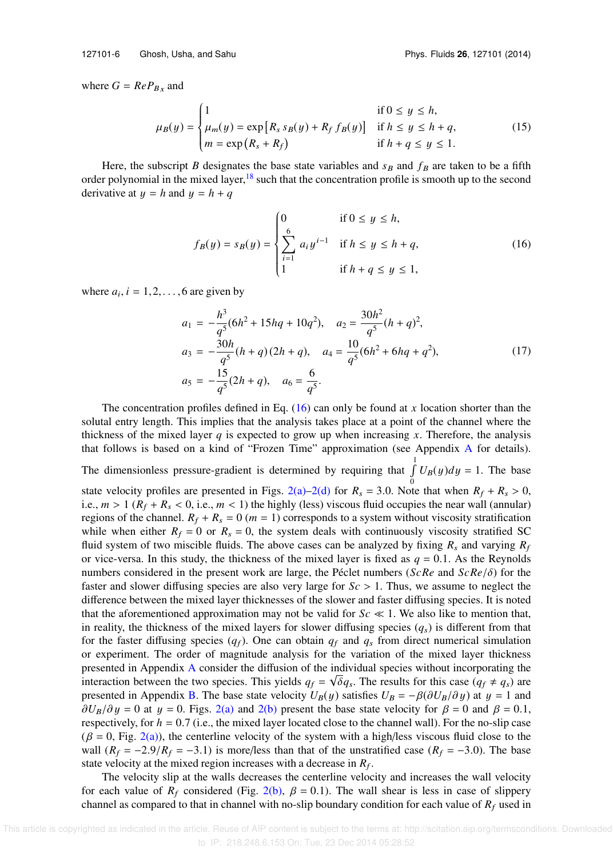where  $G = ReP_{Bx}$  and

$$
\mu_B(y) = \begin{cases}\n1 & \text{if } 0 \le y \le h, \\
\mu_m(y) = \exp[R_s s_B(y) + R_f f_B(y)] & \text{if } h \le y \le h + q, \\
m = \exp(R_s + R_f) & \text{if } h + q \le y \le 1.\n\end{cases}
$$
\n(15)

Here, the subscript *B* designates the base state variables and  $s_B$  and  $f_B$  are taken to be a fifth order polynomial in the mixed layer, $18$  such that the concentration profile is smooth up to the second derivative at  $y = h$  and  $y = h + q$ 

$$
f_B(y) = s_B(y) = \begin{cases} 0 & \text{if } 0 \le y \le h, \\ \sum_{i=1}^6 a_i y^{i-1} & \text{if } h \le y \le h + q, \\ 1 & \text{if } h + q \le y \le 1, \end{cases}
$$
 (16)

where  $a_i$ ,  $i = 1, 2, \ldots, 6$  are given by

$$
a_1 = -\frac{h^3}{q^5}(6h^2 + 15hq + 10q^2), \quad a_2 = \frac{30h^2}{q^5}(h+q)^2,
$$
  
\n
$$
a_3 = -\frac{30h}{q^5}(h+q)(2h+q), \quad a_4 = \frac{10}{q^5}(6h^2 + 6hq + q^2),
$$
  
\n
$$
a_5 = -\frac{15}{q^5}(2h+q), \quad a_6 = \frac{6}{q^5}.
$$
\n(17)

The concentration profiles defined in Eq. (16) can only be found at *x* location shorter than the solutal entry length. This implies that the analysis takes place at a point of the channel where the thickness of the mixed layer *q* is expected to grow up when increasing *x*. Therefore, the analysis that follows is based on a kind of "Frozen Time" approximation (see Appendix A for details). The dimensionless pressure-gradient is determined by requiring that  $\int_{a}^{1} U_B(y) dy = 1$ . The base state velocity profiles are presented in Figs. 2(a)–2(d) for  $R_s = 3.0$ . Note that when  $R_f + R_s > 0$ , i.e.,  $m > 1$  ( $R_f + R_s < 0$ , i.e.,  $m < 1$ ) the highly (less) viscous fluid occupies the near wall (annular) regions of the channel.  $R_f + R_s = 0$  ( $m = 1$ ) corresponds to a system without viscosity stratification while when either  $R_f = 0$  or  $R_s = 0$ , the system deals with continuously viscosity stratified SC fluid system of two miscible fluids. The above cases can be analyzed by fixing  $R_s$  and varying  $R_f$ or vice-versa. In this study, the thickness of the mixed layer is fixed as  $q = 0.1$ . As the Reynolds numbers considered in the present work are large, the Péclet numbers (*ScRe* and *ScRe*/δ) for the faster and slower diffusing species are also very large for *Sc* > 1. Thus, we assume to neglect the difference between the mixed layer thicknesses of the slower and faster diffusing species. It is noted that the aforementioned approximation may not be valid for  $Sc \ll 1$ . We also like to mention that, in reality, the thickness of the mixed layers for slower diffusing species  $(q_s)$  is different from that for the faster diffusing species  $(q_f)$ . One can obtain  $q_f$  and  $q_s$  from direct numerical simulation or experiment. The order of magnitude analysis for the variation of the mixed layer thickness presented in Appendix A consider the diffusion of the individual species without incorporating the interaction between the two species. This yields  $q_f = \sqrt{\delta}q_s$ . The results for this case  $(q_f \neq q_s)$  are presented in Appendix B. The base state velocity  $U_B(y)$  satisfies  $U_B = -\beta(\partial U_B/\partial y)$  at  $y = 1$  and  $\partial U_B/\partial y = 0$  at  $y = 0$ . Figs. 2(a) and 2(b) present the base state velocity for  $\beta = 0$  and  $\beta = 0.1$ , respectively, for  $h = 0.7$  (i.e., the mixed layer located close to the channel wall). For the no-slip case  $(\beta = 0, \text{Fig. 2(a)})$ , the centerline velocity of the system with a high/less viscous fluid close to the wall  $(R_f = -2.9/R_f = -3.1)$  is more/less than that of the unstratified case  $(R_f = -3.0)$ . The base state velocity at the mixed region increases with a decrease in  $R_f$ .

The velocity slip at the walls decreases the centerline velocity and increases the wall velocity for each value of  $R_f$  considered (Fig. 2(b),  $\beta = 0.1$ ). The wall shear is less in case of slippery channel as compared to that in channel with no-slip boundary condition for each value of  $R_f$  used in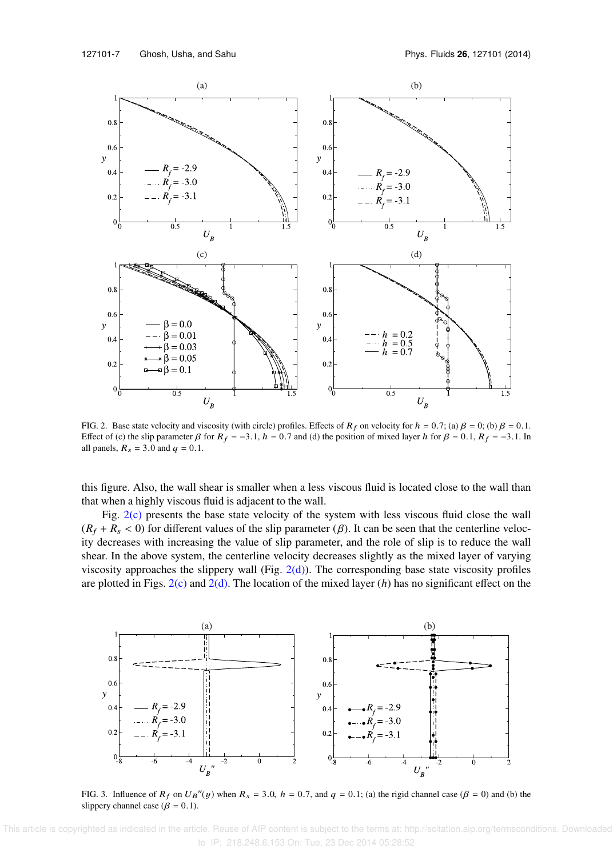

FIG. 2. Base state velocity and viscosity (with circle) profiles. Effects of  $R_f$  on velocity for  $h = 0.7$ ; (a)  $\beta = 0$ ; (b)  $\beta = 0.1$ . Effect of (c) the slip parameter  $\beta$  for  $R_f = -3.1$ ,  $h = 0.7$  and (d) the position of mixed layer h for  $\beta = 0.1$ ,  $R_f = -3.1$ . In all panels,  $R_s = 3.0$  and  $q = 0.1$ .

this figure. Also, the wall shear is smaller when a less viscous fluid is located close to the wall than that when a highly viscous fluid is adjacent to the wall.

Fig. 2(c) presents the base state velocity of the system with less viscous fluid close the wall  $(R_f + R_s < 0)$  for different values of the slip parameter ( $\beta$ ). It can be seen that the centerline velocity decreases with increasing the value of slip parameter, and the role of slip is to reduce the wall shear. In the above system, the centerline velocity decreases slightly as the mixed layer of varying viscosity approaches the slippery wall (Fig. 2(d)). The corresponding base state viscosity profiles are plotted in Figs.  $2(c)$  and  $2(d)$ . The location of the mixed layer (*h*) has no significant effect on the



FIG. 3. Influence of  $R_f$  on  $U_B''(y)$  when  $R_s = 3.0$ ,  $h = 0.7$ , and  $q = 0.1$ ; (a) the rigid channel case ( $\beta = 0$ ) and (b) the slippery channel case ( $\beta = 0.1$ ).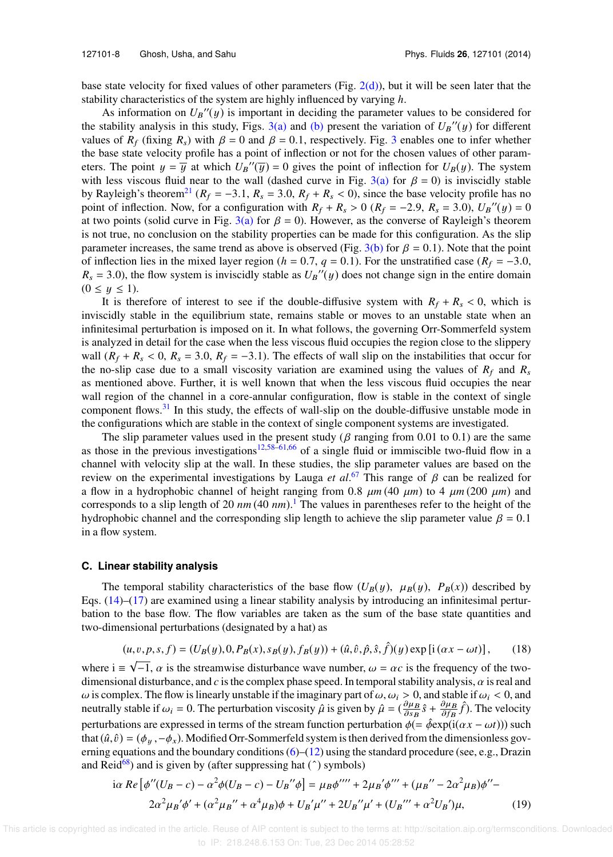base state velocity for fixed values of other parameters (Fig. 2(d)), but it will be seen later that the stability characteristics of the system are highly influenced by varying *h*.

As information on  $U_B''(y)$  is important in deciding the parameter values to be considered for the stability analysis in this study, Figs.  $3(a)$  and (b) present the variation of  $U_B''(y)$  for different values of  $R_f$  (fixing  $R_s$ ) with  $\beta = 0$  and  $\beta = 0.1$ , respectively. Fig. 3 enables one to infer whether the base state velocity profile has a point of inflection or not for the chosen values of other parameters. The point  $y = \overline{y}$  at which  $U_B''(\overline{y}) = 0$  gives the point of inflection for  $U_B(y)$ . The system with less viscous fluid near to the wall (dashed curve in Fig. 3(a) for  $\beta = 0$ ) is inviscidly stable by Rayleigh's theorem<sup>21</sup> ( $R_f = -3.1$ ,  $R_s = 3.0$ ,  $R_f + R_s < 0$ ), since the base velocity profile has no point of inflection. Now, for a configuration with  $R_f + R_s > 0$  ( $R_f = -2.9$ ,  $R_s = 3.0$ ),  $U_B''(y) = 0$ at two points (solid curve in Fig. 3(a) for  $\beta = 0$ ). However, as the converse of Rayleigh's theorem is not true, no conclusion on the stability properties can be made for this configuration. As the slip parameter increases, the same trend as above is observed (Fig. 3(b) for  $\beta = 0.1$ ). Note that the point of inflection lies in the mixed layer region ( $h = 0.7$ ,  $q = 0.1$ ). For the unstratified case ( $R_f = -3.0$ ,  $R_s = 3.0$ ), the flow system is inviscidly stable as  $U_B''(y)$  does not change sign in the entire domain  $(0 \le y \le 1).$ 

It is therefore of interest to see if the double-diffusive system with  $R_f + R_s < 0$ , which is inviscidly stable in the equilibrium state, remains stable or moves to an unstable state when an infinitesimal perturbation is imposed on it. In what follows, the governing Orr-Sommerfeld system is analyzed in detail for the case when the less viscous fluid occupies the region close to the slippery wall  $(R_f + R_s < 0, R_s = 3.0, R_f = -3.1)$ . The effects of wall slip on the instabilities that occur for the no-slip case due to a small viscosity variation are examined using the values of  $R_f$  and  $R_s$ as mentioned above. Further, it is well known that when the less viscous fluid occupies the near wall region of the channel in a core-annular configuration, flow is stable in the context of single component flows.<sup>31</sup> In this study, the effects of wall-slip on the double-diffusive unstable mode in the configurations which are stable in the context of single component systems are investigated.

The slip parameter values used in the present study ( $\beta$  ranging from 0.01 to 0.1) are the same as those in the previous investigations<sup>12,58–61,66</sup> of a single fluid or immiscible two-fluid flow in a channel with velocity slip at the wall. In these studies, the slip parameter values are based on the review on the experimental investigations by Lauga *et al*. <sup>67</sup> This range of β can be realized for a flow in a hydrophobic channel of height ranging from 0.8  $\mu$ m (40  $\mu$ m) to 4  $\mu$ m (200  $\mu$ m) and corresponds to a slip length of 20 *nm* (40 *nm*). <sup>1</sup> The values in parentheses refer to the height of the hydrophobic channel and the corresponding slip length to achieve the slip parameter value  $\beta = 0.1$ in a flow system.

### **C. Linear stability analysis**

The temporal stability characteristics of the base flow  $(U_B(y), \mu_B(y), P_B(x))$  described by Eqs.  $(14)$ – $(17)$  are examined using a linear stability analysis by introducing an infinitesimal perturbation to the base flow. The flow variables are taken as the sum of the base state quantities and two-dimensional perturbations (designated by a hat) as

$$
(u, v, p, s, f) = (U_B(y), 0, P_B(x), s_B(y), f_B(y)) + (\hat{u}, \hat{v}, \hat{p}, \hat{s}, \hat{f})(y) \exp[i(\alpha x - \omega t)],
$$
 (18)

where  $i \equiv \sqrt{-1}$ ,  $\alpha$  is the streamwise disturbance wave number,  $\omega = \alpha c$  is the frequency of the twodimensional disturbance, and  $c$  is the complex phase speed. In temporal stability analysis,  $\alpha$  is real and ω is complex. The flow is linearly unstable if the imaginary part of  $ω$ ,  $ω$ <sub>i</sub>  $\geq 0$ , and stable if  $ω$ <sub>i</sub>  $\lt 0$ , and neutrally stable if  $\omega_i = 0$ . The perturbation viscosity  $\hat{\mu}$  is given by  $\hat{\mu} = (\frac{\partial \mu_B}{\partial s_B})$  $\frac{\partial \mu_B}{\partial s_B} \hat{s} + \frac{\partial \mu_B}{\partial f_B}$  $\frac{\partial \mu_B}{\partial f_B} \hat{f}$ ). The velocity perturbations are expressed in terms of the stream function perturbation  $\phi$ (=  $\hat{\phi}$ exp(i( $\alpha x - \omega t$ ))) such that  $(\hat{u}, \hat{v}) = (\phi_u, -\phi_x)$ . Modified Orr-Sommerfeld system is then derived from the dimensionless governing equations and the boundary conditions (6)–(12) using the standard procedure (see, e.g., Drazin and Reid<sup>68</sup>) and is given by (after suppressing hat  $(^{\circ})$  symbols)

$$
i\alpha \ Re \left[ \phi''(U_B - c) - \alpha^2 \phi(U_B - c) - U_B'' \phi \right] = \mu_B \phi'''' + 2\mu_B' \phi''' + (\mu_B'' - 2\alpha^2 \mu_B) \phi'' - 2\alpha^2 \mu_B' \phi' + (\alpha^2 \mu_B'' + \alpha^4 \mu_B) \phi + U_B' \mu'' + 2U_B'' \mu' + (U_B''' + \alpha^2 U_B') \mu, \tag{19}
$$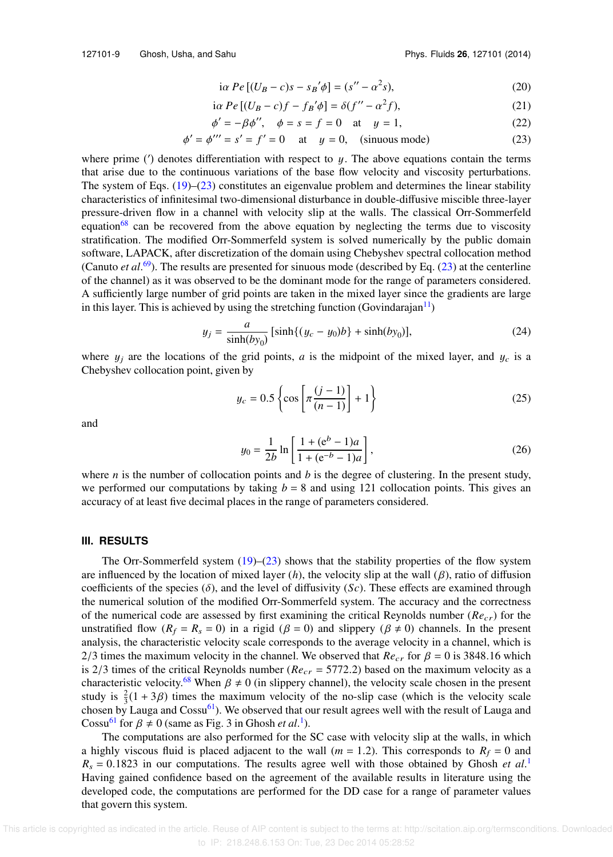127101-9 Ghosh, Usha, and Sahu Phys. Fluids **26**, 127101 (2014)

$$
i\alpha Pe[(U_B - c)s - s_B'\phi] = (s'' - \alpha^2 s),\tag{20}
$$

$$
i\alpha Pe[(U_B - c)f - f_B'\phi] = \delta(f'' - \alpha^2 f),\tag{21}
$$

$$
\phi' = -\beta \phi'', \quad \phi = s = f = 0 \quad \text{at} \quad y = 1,
$$
\n(22)

$$
\phi' = \phi''' = s' = f' = 0 \quad \text{at} \quad y = 0, \quad \text{(sinuous mode)} \tag{23}
$$

where prime  $(')$  denotes differentiation with respect to  $y$ . The above equations contain the terms that arise due to the continuous variations of the base flow velocity and viscosity perturbations. The system of Eqs. (19)–(23) constitutes an eigenvalue problem and determines the linear stability characteristics of infinitesimal two-dimensional disturbance in double-diffusive miscible three-layer pressure-driven flow in a channel with velocity slip at the walls. The classical Orr-Sommerfeld equation<sup>68</sup> can be recovered from the above equation by neglecting the terms due to viscosity stratification. The modified Orr-Sommerfeld system is solved numerically by the public domain software, LAPACK, after discretization of the domain using Chebyshev spectral collocation method (Canuto *et al*. <sup>69</sup>). The results are presented for sinuous mode (described by Eq. (23) at the centerline of the channel) as it was observed to be the dominant mode for the range of parameters considered. A sufficiently large number of grid points are taken in the mixed layer since the gradients are large in this layer. This is achieved by using the stretching function (Govindarajan $\frac{11}{1}$ )

$$
y_j = \frac{a}{\sinh(by_0)} [\sinh\{(y_c - y_0)b\} + \sinh(by_0)],
$$
 (24)

where  $y_i$  are the locations of the grid points, *a* is the midpoint of the mixed layer, and  $y_c$  is a Chebyshev collocation point, given by

$$
y_c = 0.5 \left\{ \cos \left[ \pi \frac{(j-1)}{(n-1)} \right] + 1 \right\}
$$
 (25)

and

$$
y_0 = \frac{1}{2b} \ln \left[ \frac{1 + (e^b - 1)a}{1 + (e^{-b} - 1)a} \right],
$$
 (26)

where *n* is the number of collocation points and *b* is the degree of clustering. In the present study, we performed our computations by taking  $b = 8$  and using 121 collocation points. This gives an accuracy of at least five decimal places in the range of parameters considered.

### **III. RESULTS**

The Orr-Sommerfeld system  $(19)$ – $(23)$  shows that the stability properties of the flow system are influenced by the location of mixed layer (*h*), the velocity slip at the wall (β), ratio of diffusion coefficients of the species  $(\delta)$ , and the level of diffusivity  $(Sc)$ . These effects are examined through the numerical solution of the modified Orr-Sommerfeld system. The accuracy and the correctness of the numerical code are assessed by first examining the critical Reynolds number (*Re*cr) for the unstratified flow  $(R_f = R_s = 0)$  in a rigid  $(\beta = 0)$  and slippery  $(\beta \neq 0)$  channels. In the present analysis, the characteristic velocity scale corresponds to the average velocity in a channel, which is 2/3 times the maximum velocity in the channel. We observed that  $Re_{cr}$  for  $\beta = 0$  is 3848.16 which is 2/3 times of the critical Reynolds number ( $Re<sub>cr</sub> = 5772.2$ ) based on the maximum velocity as a characteristic velocity.<sup>68</sup> When  $\beta \neq 0$  (in slippery channel), the velocity scale chosen in the present study is  $\frac{2}{3}(1+3\beta)$  times the maximum velocity of the no-slip case (which is the velocity scale chosen by Lauga and  $\text{Cosu}^{61}$ ). We observed that our result agrees well with the result of Lauga and Cossu<sup>61</sup> for  $\beta \neq 0$  (same as Fig. 3 in Ghosh *et al.*<sup>1</sup>).

The computations are also performed for the SC case with velocity slip at the walls, in which a highly viscous fluid is placed adjacent to the wall ( $m = 1.2$ ). This corresponds to  $R_f = 0$  and  $R_s = 0.1823$  in our computations. The results agree well with those obtained by Ghosh *et al.*<sup>1</sup> Having gained confidence based on the agreement of the available results in literature using the developed code, the computations are performed for the DD case for a range of parameter values that govern this system.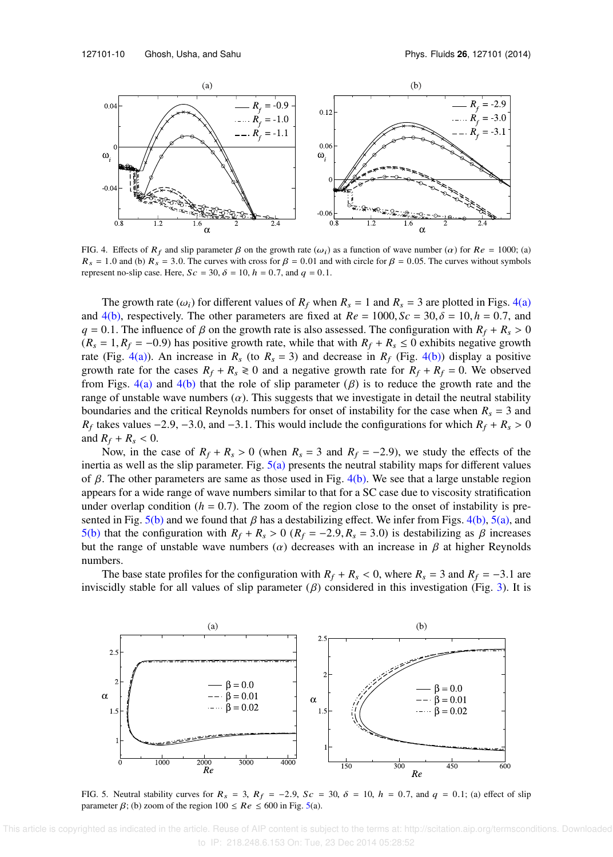

FIG. 4. Effects of  $R_f$  and slip parameter  $\beta$  on the growth rate  $(\omega_i)$  as a function of wave number  $(\alpha)$  for  $Re = 1000$ ; (a)  $R_s = 1.0$  and (b)  $R_s = 3.0$ . The curves with cross for  $\beta = 0.01$  and with circle for  $\beta = 0.05$ . The curves without symbols represent no-slip case. Here,  $Sc = 30$ ,  $\delta = 10$ ,  $h = 0.7$ , and  $q = 0.1$ .

The growth rate  $(\omega_i)$  for different values of  $R_f$  when  $R_s = 1$  and  $R_s = 3$  are plotted in Figs. 4(a) and 4(b), respectively. The other parameters are fixed at  $Re = 1000$ ,  $Sc = 30$ ,  $\delta = 10$ ,  $h = 0.7$ , and  $q = 0.1$ . The influence of  $\beta$  on the growth rate is also assessed. The configuration with  $R_f + R_s > 0$  $(R_s = 1, R_f = -0.9)$  has positive growth rate, while that with  $R_f + R_s \le 0$  exhibits negative growth rate (Fig. 4(a)). An increase in  $R_s$  (to  $R_s = 3$ ) and decrease in  $R_f$  (Fig. 4(b)) display a positive growth rate for the cases  $R_f + R_s \ge 0$  and a negative growth rate for  $R_f + R_f = 0$ . We observed from Figs. 4(a) and 4(b) that the role of slip parameter  $(\beta)$  is to reduce the growth rate and the range of unstable wave numbers  $(\alpha)$ . This suggests that we investigate in detail the neutral stability boundaries and the critical Reynolds numbers for onset of instability for the case when  $R_s = 3$  and *R*<sub>f</sub> takes values −2.9, −3.0, and −3.1. This would include the configurations for which  $R_f + R_s > 0$ and  $R_f + R_s < 0$ .

Now, in the case of  $R_f + R_s > 0$  (when  $R_s = 3$  and  $R_f = -2.9$ ), we study the effects of the inertia as well as the slip parameter. Fig.  $5(a)$  presents the neutral stability maps for different values of β. The other parameters are same as those used in Fig. 4(b). We see that a large unstable region appears for a wide range of wave numbers similar to that for a SC case due to viscosity stratification under overlap condition ( $h = 0.7$ ). The zoom of the region close to the onset of instability is presented in Fig. 5(b) and we found that  $\beta$  has a destabilizing effect. We infer from Figs. 4(b), 5(a), and 5(b) that the configuration with  $R_f + R_s > 0$  ( $R_f = -2.9, R_s = 3.0$ ) is destabilizing as  $\beta$  increases but the range of unstable wave numbers ( $\alpha$ ) decreases with an increase in  $\beta$  at higher Reynolds numbers.

The base state profiles for the configuration with  $R_f + R_s < 0$ , where  $R_s = 3$  and  $R_f = -3.1$  are inviscidly stable for all values of slip parameter  $(\beta)$  considered in this investigation (Fig. 3). It is



FIG. 5. Neutral stability curves for  $R_s = 3$ ,  $R_f = -2.9$ ,  $Sc = 30$ ,  $\delta = 10$ ,  $h = 0.7$ , and  $q = 0.1$ ; (a) effect of slip parameter  $\beta$ ; (b) zoom of the region  $100 \le Re \le 600$  in Fig. 5(a).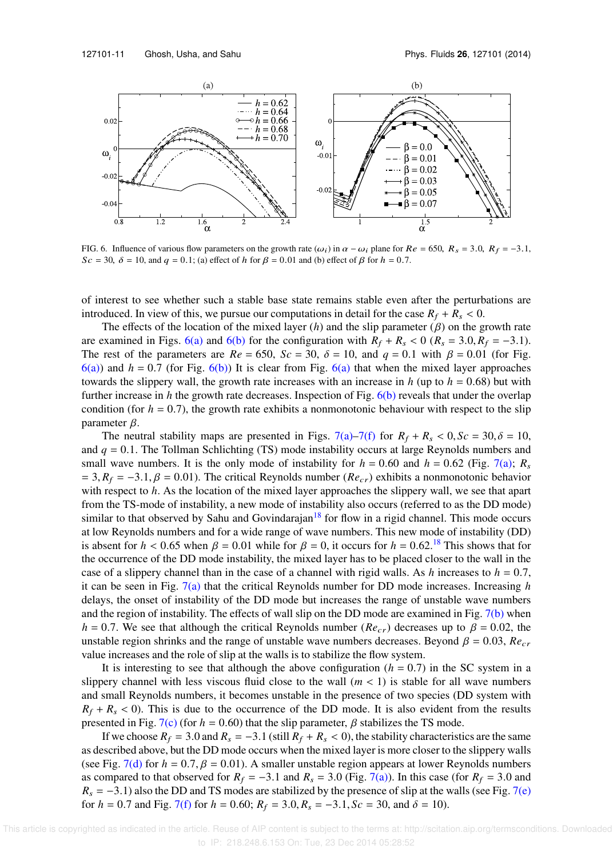

FIG. 6. Influence of various flow parameters on the growth rate  $(\omega_i)$  in  $\alpha - \omega_i$  plane for  $Re = 650$ ,  $R_s = 3.0$ ,  $R_f = -3.1$ ,  $Sc = 30$ ,  $\delta = 10$ , and  $q = 0.1$ ; (a) effect of h for  $\beta = 0.01$  and (b) effect of  $\beta$  for  $h = 0.7$ .

of interest to see whether such a stable base state remains stable even after the perturbations are introduced. In view of this, we pursue our computations in detail for the case  $R_f + R_s < 0$ .

The effects of the location of the mixed layer  $(h)$  and the slip parameter  $(\beta)$  on the growth rate are examined in Figs. 6(a) and 6(b) for the configuration with  $R_f + R_s < 0$  ( $R_s = 3.0, R_f = -3.1$ ). The rest of the parameters are  $Re = 650$ ,  $Sc = 30$ ,  $\delta = 10$ , and  $q = 0.1$  with  $\beta = 0.01$  (for Fig.  $6(a)$ ) and  $h = 0.7$  (for Fig.  $6(b)$ ) It is clear from Fig.  $6(a)$  that when the mixed layer approaches towards the slippery wall, the growth rate increases with an increase in  $h$  (up to  $h = 0.68$ ) but with further increase in *h* the growth rate decreases. Inspection of Fig. 6(b) reveals that under the overlap condition (for  $h = 0.7$ ), the growth rate exhibits a nonmonotonic behaviour with respect to the slip parameter  $\beta$ .

The neutral stability maps are presented in Figs. 7(a)–7(f) for  $R_f + R_s < 0$ ,  $Sc = 30$ ,  $\delta = 10$ , and  $q = 0.1$ . The Tollman Schlichting (TS) mode instability occurs at large Reynolds numbers and small wave numbers. It is the only mode of instability for  $h = 0.60$  and  $h = 0.62$  (Fig. 7(a);  $R_s$  $= 3, R_f = -3.1, \beta = 0.01$ ). The critical Reynolds number (*Re<sub>cr</sub>*) exhibits a nonmonotonic behavior with respect to *h*. As the location of the mixed layer approaches the slippery wall, we see that apart from the TS-mode of instability, a new mode of instability also occurs (referred to as the DD mode) similar to that observed by Sahu and Govindarajan $^{18}$  for flow in a rigid channel. This mode occurs at low Reynolds numbers and for a wide range of wave numbers. This new mode of instability (DD) is absent for  $h < 0.65$  when  $\beta = 0.01$  while for  $\beta = 0$ , it occurs for  $h = 0.62$ .<sup>18</sup> This shows that for the occurrence of the DD mode instability, the mixed layer has to be placed closer to the wall in the case of a slippery channel than in the case of a channel with rigid walls. As  $h$  increases to  $h = 0.7$ , it can be seen in Fig. 7(a) that the critical Reynolds number for DD mode increases. Increasing *h* delays, the onset of instability of the DD mode but increases the range of unstable wave numbers and the region of instability. The effects of wall slip on the DD mode are examined in Fig. 7(b) when *h* = 0.7. We see that although the critical Reynolds number ( $Re_{cr}$ ) decreases up to  $\beta$  = 0.02, the unstable region shrinks and the range of unstable wave numbers decreases. Beyond  $\beta = 0.03$ ,  $Re<sub>cr</sub>$ value increases and the role of slip at the walls is to stabilize the flow system.

It is interesting to see that although the above configuration  $(h = 0.7)$  in the SC system in a slippery channel with less viscous fluid close to the wall  $(m < 1)$  is stable for all wave numbers and small Reynolds numbers, it becomes unstable in the presence of two species (DD system with  $R_f + R_s < 0$ ). This is due to the occurrence of the DD mode. It is also evident from the results presented in Fig. 7(c) (for  $h = 0.60$ ) that the slip parameter,  $\beta$  stabilizes the TS mode.

If we choose  $R_f = 3.0$  and  $R_s = -3.1$  (still  $R_f + R_s < 0$ ), the stability characteristics are the same as described above, but the DD mode occurs when the mixed layer is more closer to the slippery walls (see Fig. 7(d) for  $h = 0.7$ ,  $\beta = 0.01$ ). A smaller unstable region appears at lower Reynolds numbers as compared to that observed for  $R_f = -3.1$  and  $R_s = 3.0$  (Fig. 7(a)). In this case (for  $R_f = 3.0$  and  $R_s = -3.1$ ) also the DD and TS modes are stabilized by the presence of slip at the walls (see Fig. 7(e) for  $h = 0.7$  and Fig. 7(f) for  $h = 0.60$ ;  $R_f = 3.0$ ,  $R_s = -3.1$ ,  $Sc = 30$ , and  $\delta = 10$ .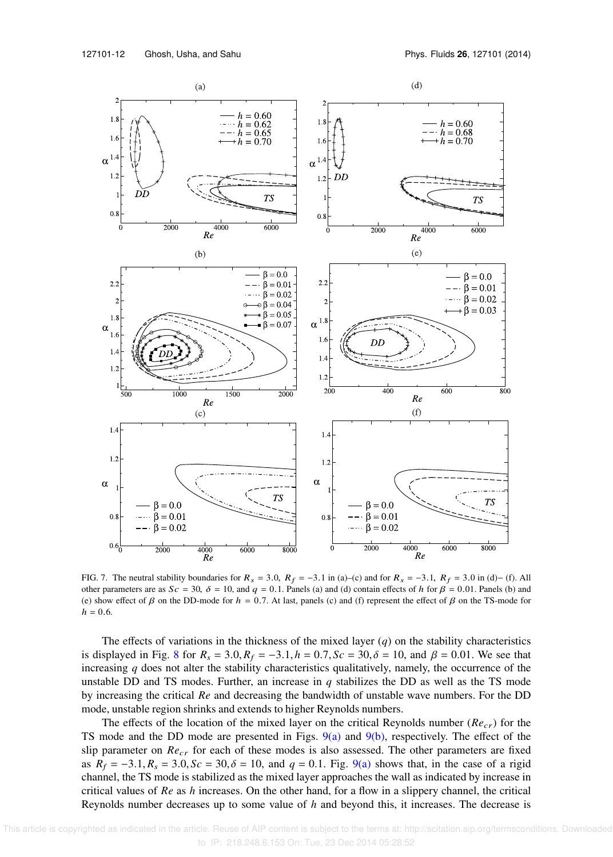

FIG. 7. The neutral stability boundaries for  $R_s = 3.0$ ,  $R_f = -3.1$  in (a)–(c) and for  $R_s = -3.1$ ,  $R_f = 3.0$  in (d)– (f). All other parameters are as  $Sc = 30$ ,  $\delta = 10$ , and  $q = 0.1$ . Panels (a) and (d) contain effects of h for  $\beta = 0.01$ . Panels (b) and (e) show effect of  $\beta$  on the DD-mode for  $h = 0.7$ . At last, panels (c) and (f) represent the effect of  $\beta$  on the TS-mode for  $h = 0.6$ .

The effects of variations in the thickness of the mixed layer  $(q)$  on the stability characteristics is displayed in Fig. 8 for  $R_s = 3.0$ ,  $R_f = -3.1$ ,  $h = 0.7$ ,  $Sc = 30$ ,  $\delta = 10$ , and  $\beta = 0.01$ . We see that increasing *q* does not alter the stability characteristics qualitatively, namely, the occurrence of the unstable DD and TS modes. Further, an increase in  $q$  stabilizes the DD as well as the TS mode by increasing the critical *Re* and decreasing the bandwidth of unstable wave numbers. For the DD mode, unstable region shrinks and extends to higher Reynolds numbers.

The effects of the location of the mixed layer on the critical Reynolds number  $(Re<sub>cr</sub>)$  for the TS mode and the DD mode are presented in Figs.  $9(a)$  and  $9(b)$ , respectively. The effect of the slip parameter on *Re<sub>cr</sub>* for each of these modes is also assessed. The other parameters are fixed as  $R_f = -3.1, R_s = 3.0, Sc = 30, \delta = 10$ , and  $q = 0.1$ . Fig. 9(a) shows that, in the case of a rigid channel, the TS mode is stabilized as the mixed layer approaches the wall as indicated by increase in critical values of *Re* as *h* increases. On the other hand, for a flow in a slippery channel, the critical Reynolds number decreases up to some value of *h* and beyond this, it increases. The decrease is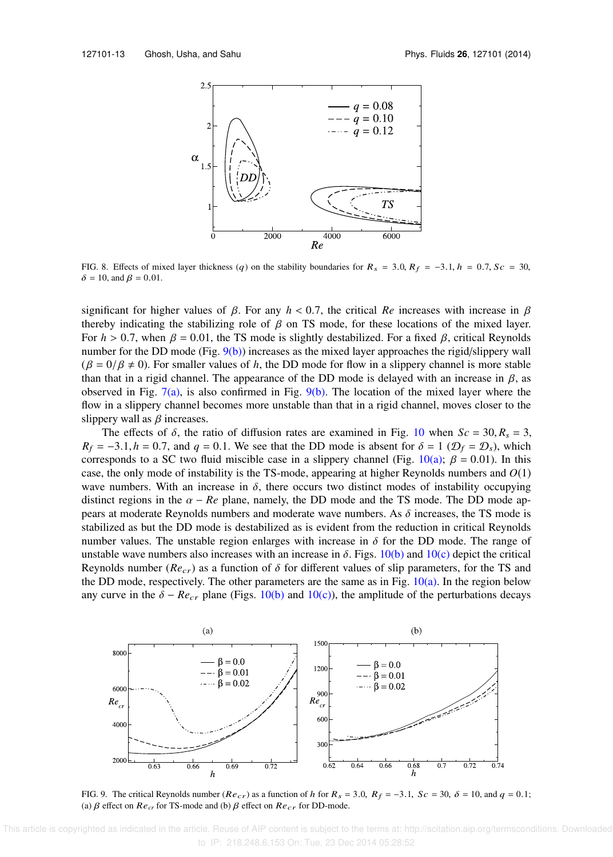

FIG. 8. Effects of mixed layer thickness (q) on the stability boundaries for  $R_s = 3.0$ ,  $R_f = -3.1$ ,  $h = 0.7$ ,  $Sc = 30$ ,  $\delta = 10$ , and  $\beta = 0.01$ .

significant for higher values of  $\beta$ . For any  $h < 0.7$ , the critical *Re* increases with increase in  $\beta$ thereby indicating the stabilizing role of  $\beta$  on TS mode, for these locations of the mixed layer. For  $h > 0.7$ , when  $\beta = 0.01$ , the TS mode is slightly destabilized. For a fixed  $\beta$ , critical Reynolds number for the DD mode (Fig. 9(b)) increases as the mixed layer approaches the rigid/slippery wall  $(\beta = 0/\beta \neq 0)$ . For smaller values of *h*, the DD mode for flow in a slippery channel is more stable than that in a rigid channel. The appearance of the DD mode is delayed with an increase in  $\beta$ , as observed in Fig.  $7(a)$ , is also confirmed in Fig.  $9(b)$ . The location of the mixed layer where the flow in a slippery channel becomes more unstable than that in a rigid channel, moves closer to the slippery wall as  $\beta$  increases.

The effects of  $\delta$ , the ratio of diffusion rates are examined in Fig. 10 when  $Sc = 30, R_s = 3$ ,  $R_f = -3.1$ ,  $h = 0.7$ , and  $q = 0.1$ . We see that the DD mode is absent for  $\delta = 1$  ( $\mathcal{D}_f = \mathcal{D}_s$ ), which corresponds to a SC two fluid miscible case in a slippery channel (Fig. 10(a);  $\beta = 0.01$ ). In this case, the only mode of instability is the TS-mode, appearing at higher Reynolds numbers and *O*(1) wave numbers. With an increase in  $\delta$ , there occurs two distinct modes of instability occupying distinct regions in the  $\alpha$  –  $Re$  plane, namely, the DD mode and the TS mode. The DD mode appears at moderate Reynolds numbers and moderate wave numbers. As  $\delta$  increases, the TS mode is stabilized as but the DD mode is destabilized as is evident from the reduction in critical Reynolds number values. The unstable region enlarges with increase in  $\delta$  for the DD mode. The range of unstable wave numbers also increases with an increase in  $\delta$ . Figs. 10(b) and 10(c) depict the critical Reynolds number ( $Re<sub>cr</sub>$ ) as a function of  $\delta$  for different values of slip parameters, for the TS and the DD mode, respectively. The other parameters are the same as in Fig.  $10(a)$ . In the region below any curve in the  $\delta - Re_{cr}$  plane (Figs. 10(b) and 10(c)), the amplitude of the perturbations decays



FIG. 9. The critical Reynolds number ( $Re_{cr}$ ) as a function of h for  $R_s = 3.0$ ,  $R_f = -3.1$ ,  $Sc = 30$ ,  $\delta = 10$ , and  $q = 0.1$ ; (a)  $\beta$  effect on  $Re_{cr}$  for TS-mode and (b)  $\beta$  effect on  $Re_{cr}$  for DD-mode.

 This article is copyrighted as indicated in the article. Reuse of AIP content is subject to the terms at: http://scitation.aip.org/termsconditions. Downloaded to IP: 218.248.6.153 On: Tue, 23 Dec 2014 05:28:52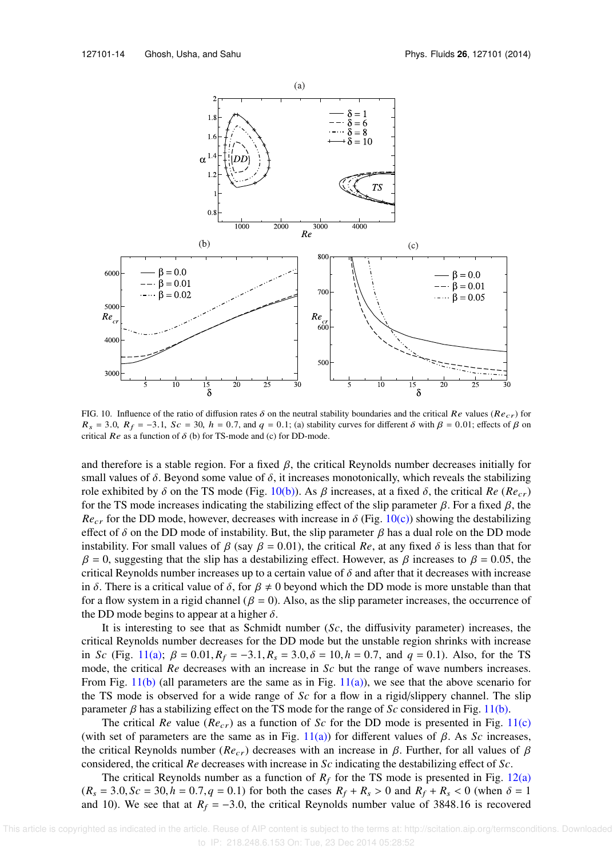

FIG. 10. Influence of the ratio of diffusion rates  $\delta$  on the neutral stability boundaries and the critical Re values (Recr) for  $R_s = 3.0$ ,  $R_f = -3.1$ ,  $Sc = 30$ ,  $h = 0.7$ , and  $q = 0.1$ ; (a) stability curves for different  $\delta$  with  $\beta = 0.01$ ; effects of  $\beta$  on critical  $Re$  as a function of  $\delta$  (b) for TS-mode and (c) for DD-mode.

and therefore is a stable region. For a fixed  $\beta$ , the critical Reynolds number decreases initially for small values of  $\delta$ . Beyond some value of  $\delta$ , it increases monotonically, which reveals the stabilizing role exhibited by δ on the TS mode (Fig. 10(b)). As β increases, at a fixed δ, the critical  $Re (Re<sub>cr</sub>)$ for the TS mode increases indicating the stabilizing effect of the slip parameter  $\beta$ . For a fixed  $\beta$ , the  $Re<sub>cr</sub>$  for the DD mode, however, decreases with increase in  $\delta$  (Fig. 10(c)) showing the destabilizing effect of  $\delta$  on the DD mode of instability. But, the slip parameter  $\beta$  has a dual role on the DD mode instability. For small values of  $\beta$  (say  $\beta = 0.01$ ), the critical *Re*, at any fixed  $\delta$  is less than that for  $β = 0$ , suggesting that the slip has a destabilizing effect. However, as  $β$  increases to  $β = 0.05$ , the critical Reynolds number increases up to a certain value of  $\delta$  and after that it decreases with increase in δ. There is a critical value of δ, for  $\beta \neq 0$  beyond which the DD mode is more unstable than that for a flow system in a rigid channel ( $\beta = 0$ ). Also, as the slip parameter increases, the occurrence of the DD mode begins to appear at a higher  $\delta$ .

It is interesting to see that as Schmidt number (*Sc*, the diffusivity parameter) increases, the critical Reynolds number decreases for the DD mode but the unstable region shrinks with increase in *Sc* (Fig. 11(a);  $\beta = 0.01$ ,  $R_f = -3.1$ ,  $R_s = 3.0$ ,  $\delta = 10$ ,  $h = 0.7$ , and  $q = 0.1$ ). Also, for the TS mode, the critical *Re* decreases with an increase in *Sc* but the range of wave numbers increases. From Fig. 11(b) (all parameters are the same as in Fig.  $11(a)$ ), we see that the above scenario for the TS mode is observed for a wide range of *Sc* for a flow in a rigid/slippery channel. The slip parameter β has a stabilizing effect on the TS mode for the range of *Sc* considered in Fig. 11(b).

The critical *Re* value ( $Re_{cr}$ ) as a function of *Sc* for the DD mode is presented in Fig. 11(c) (with set of parameters are the same as in Fig.  $11(a)$ ) for different values of β. As *Sc* increases, the critical Reynolds number ( $Re<sub>cr</sub>$ ) decreases with an increase in β. Further, for all values of β considered, the critical *Re* decreases with increase in *Sc* indicating the destabilizing effect of *Sc*.

The critical Reynolds number as a function of  $R_f$  for the TS mode is presented in Fig. 12(a)  $(R_s = 3.0, Sc = 30, h = 0.7, q = 0.1)$  for both the cases  $R_f + R_s > 0$  and  $R_f + R_s < 0$  (when  $\delta = 1$ ) and 10). We see that at  $R_f = -3.0$ , the critical Reynolds number value of 3848.16 is recovered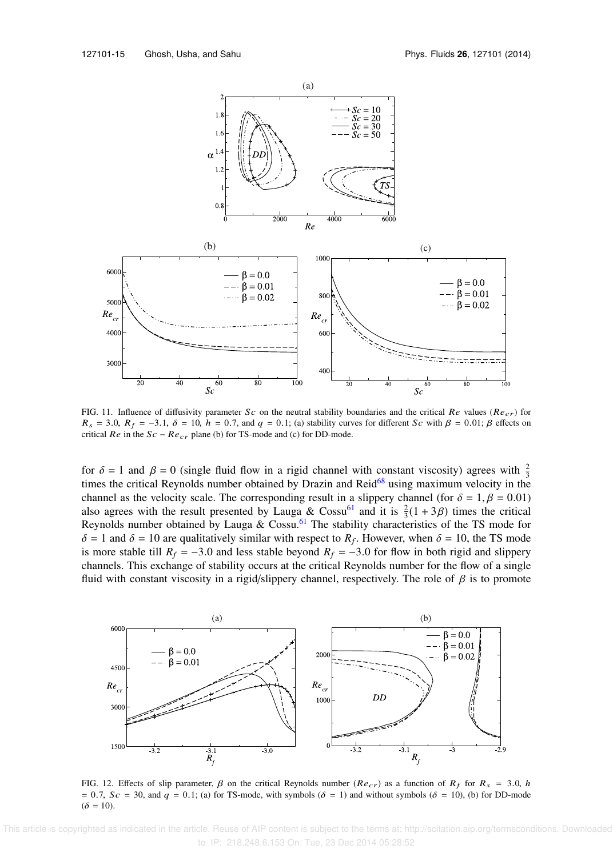

FIG. 11. Influence of diffusivity parameter Sc on the neutral stability boundaries and the critical Re values ( $Re_{cr}$ ) for  $R_s = 3.0$ ,  $R_f = -3.1$ ,  $\delta = 10$ ,  $h = 0.7$ , and  $q = 0.1$ ; (a) stability curves for different Sc with  $\beta = 0.01$ ;  $\beta$  effects on critical  $Re$  in the  $Sc - Re_{cr}$  plane (b) for TS-mode and (c) for DD-mode.

for  $\delta = 1$  and  $\beta = 0$  (single fluid flow in a rigid channel with constant viscosity) agrees with  $\frac{2}{3}$ times the critical Reynolds number obtained by Drazin and Reid<sup>68</sup> using maximum velocity in the channel as the velocity scale. The corresponding result in a slippery channel (for  $\delta = 1, \beta = 0.01$ ) also agrees with the result presented by Lauga & Cossu<sup>61</sup> and it is  $\frac{2}{3}(1+3\beta)$  times the critical Reynolds number obtained by Lauga & Cossu.<sup>61</sup> The stability characteristics of the TS mode for  $\delta = 1$  and  $\delta = 10$  are qualitatively similar with respect to  $R_f$ . However, when  $\delta = 10$ , the TS mode is more stable till  $R_f = -3.0$  and less stable beyond  $R_f = -3.0$  for flow in both rigid and slippery channels. This exchange of stability occurs at the critical Reynolds number for the flow of a single fluid with constant viscosity in a rigid/slippery channel, respectively. The role of  $\beta$  is to promote



FIG. 12. Effects of slip parameter,  $\beta$  on the critical Reynolds number ( $Re_{cr}$ ) as a function of  $R_f$  for  $R_s = 3.0$ , h = 0.7, Sc = 30, and q = 0.1; (a) for TS-mode, with symbols ( $\delta$  = 1) and without symbols ( $\delta$  = 10), (b) for DD-mode  $(\delta = 10)$ .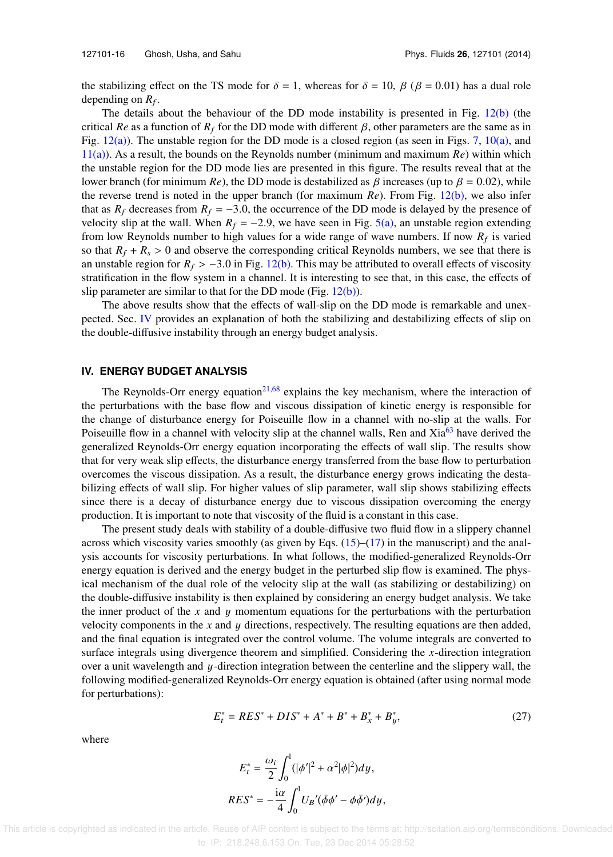the stabilizing effect on the TS mode for  $\delta = 1$ , whereas for  $\delta = 10$ ,  $\beta$  ( $\beta = 0.01$ ) has a dual role depending on  $R_f$ .

The details about the behaviour of the DD mode instability is presented in Fig.  $12(b)$  (the critical *Re* as a function of  $R_f$  for the DD mode with different  $\beta$ , other parameters are the same as in Fig.  $12(a)$ ). The unstable region for the DD mode is a closed region (as seen in Figs. 7,  $10(a)$ , and 11(a)). As a result, the bounds on the Reynolds number (minimum and maximum *Re*) within which the unstable region for the DD mode lies are presented in this figure. The results reveal that at the lower branch (for minimum *Re*), the DD mode is destabilized as  $\beta$  increases (up to  $\beta = 0.02$ ), while the reverse trend is noted in the upper branch (for maximum *Re*). From Fig. 12(b), we also infer that as  $R_f$  decreases from  $R_f = -3.0$ , the occurrence of the DD mode is delayed by the presence of velocity slip at the wall. When  $R_f = -2.9$ , we have seen in Fig. 5(a), an unstable region extending from low Reynolds number to high values for a wide range of wave numbers. If now  $R_f$  is varied so that  $R_f + R_s > 0$  and observe the corresponding critical Reynolds numbers, we see that there is an unstable region for  $R_f > -3.0$  in Fig. 12(b). This may be attributed to overall effects of viscosity stratification in the flow system in a channel. It is interesting to see that, in this case, the effects of slip parameter are similar to that for the DD mode (Fig. 12(b)).

The above results show that the effects of wall-slip on the DD mode is remarkable and unexpected. Sec. IV provides an explanation of both the stabilizing and destabilizing effects of slip on the double-diffusive instability through an energy budget analysis.

### **IV. ENERGY BUDGET ANALYSIS**

The Reynolds-Orr energy equation<sup>21,68</sup> explains the key mechanism, where the interaction of the perturbations with the base flow and viscous dissipation of kinetic energy is responsible for the change of disturbance energy for Poiseuille flow in a channel with no-slip at the walls. For Poiseuille flow in a channel with velocity slip at the channel walls, Ren and Xia<sup>63</sup> have derived the generalized Reynolds-Orr energy equation incorporating the effects of wall slip. The results show that for very weak slip effects, the disturbance energy transferred from the base flow to perturbation overcomes the viscous dissipation. As a result, the disturbance energy grows indicating the destabilizing effects of wall slip. For higher values of slip parameter, wall slip shows stabilizing effects since there is a decay of disturbance energy due to viscous dissipation overcoming the energy production. It is important to note that viscosity of the fluid is a constant in this case.

The present study deals with stability of a double-diffusive two fluid flow in a slippery channel across which viscosity varies smoothly (as given by Eqs.  $(15)$ – $(17)$  in the manuscript) and the analysis accounts for viscosity perturbations. In what follows, the modified-generalized Reynolds-Orr energy equation is derived and the energy budget in the perturbed slip flow is examined. The physical mechanism of the dual role of the velocity slip at the wall (as stabilizing or destabilizing) on the double-diffusive instability is then explained by considering an energy budget analysis. We take the inner product of the  $x$  and  $y$  momentum equations for the perturbations with the perturbation velocity components in the x and  $\gamma$  directions, respectively. The resulting equations are then added, and the final equation is integrated over the control volume. The volume integrals are converted to surface integrals using divergence theorem and simplified. Considering the *x*-direction integration over a unit wavelength and y-direction integration between the centerline and the slippery wall, the following modified-generalized Reynolds-Orr energy equation is obtained (after using normal mode for perturbations):

$$
E_t^* = RES^* + DIS^* + A^* + B^* + B_x^* + B_y^*,\tag{27}
$$

where

$$
E_t^* = \frac{\omega_i}{2} \int_0^1 (|\phi'|^2 + \alpha^2 |\phi|^2) dy,
$$
  
\n
$$
RES^* = -\frac{i\alpha}{4} \int_0^1 U_B'(\overline{\phi}\phi' - \phi\overline{\phi'}) dy,
$$

 This article is copyrighted as indicated in the article. Reuse of AIP content is subject to the terms at: http://scitation.aip.org/termsconditions. Downloaded to IP: 218.248.6.153 On: Tue, 23 Dec 2014 05:28:52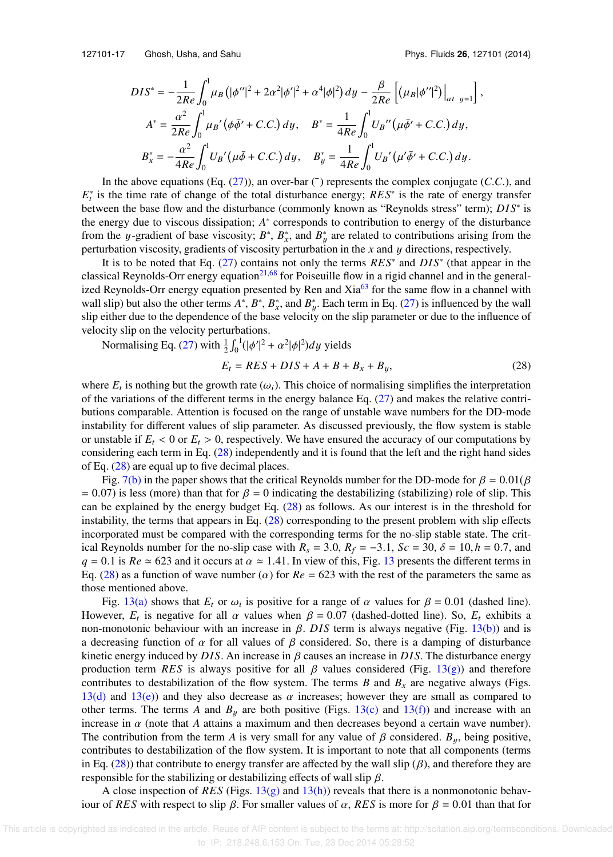127101-17 Ghosh, Usha, and Sahu Phys. Fluids **26**, 127101 (2014)

,

$$
DIS^* = -\frac{1}{2Re} \int_0^1 \mu_B \left( |\phi''|^2 + 2\alpha^2 |\phi'|^2 + \alpha^4 |\phi|^2 \right) dy - \frac{\beta}{2Re} \left[ (\mu_B |\phi''|^2) \Big|_{at \ y=1} \right]
$$
  

$$
A^* = \frac{\alpha^2}{2Re} \int_0^1 \mu_B' (\phi \bar{\phi}' + C.C.) dy, \quad B^* = \frac{1}{4Re} \int_0^1 U_B'' (\mu \bar{\phi}' + C.C.) dy,
$$
  

$$
B_x^* = -\frac{\alpha^2}{4Re} \int_0^1 U_B' (\mu \bar{\phi} + C.C.) dy, \quad B_y^* = \frac{1}{4Re} \int_0^1 U_B' (\mu' \bar{\phi}' + C.C.) dy.
$$

In the above equations (Eq.  $(27)$ ), an over-bar ( $\bar{ }$ ) represents the complex conjugate (*C*.*C*.), and *E*<sup>\*</sup><sub>*t*</sub> is the time rate of change of the total disturbance energy; *RES*<sup>\*</sup> is the rate of energy transfer between the base flow and the disturbance (commonly known as "Reynolds stress" term); *DIS*<sup>∗</sup> is the energy due to viscous dissipation; *A* ∗ corresponds to contribution to energy of the disturbance from the y-gradient of base viscosity;  $B^*$ ,  $B^*_{x}$ , and  $B^*_{y}$  are related to contributions arising from the perturbation viscosity, gradients of viscosity perturbation in the *x* and y directions, respectively.

It is to be noted that Eq. (27) contains not only the terms *RES*<sup>∗</sup> and *DIS*<sup>∗</sup> (that appear in the classical Reynolds-Orr energy equation<sup>21,68</sup> for Poiseuille flow in a rigid channel and in the generalized Reynolds-Orr energy equation presented by Ren and  $Xia<sup>63</sup>$  for the same flow in a channel with wall slip) but also the other terms  $A^*$ ,  $B^*$ ,  $B^*$ , and  $B^*_{y}$ . Each term in Eq. (27) is influenced by the wall slip either due to the dependence of the base velocity on the slip parameter or due to the influence of velocity slip on the velocity perturbations.

Normalising Eq. (27) with  $\frac{1}{2} \int_0$  $\int_1^1(|\phi'|^2 + \alpha^2|\phi|^2)dy$  yields

$$
E_t = RES + DIS + A + B + B_x + B_y,\tag{28}
$$

where  $E_t$  is nothing but the growth rate ( $\omega_i$ ). This choice of normalising simplifies the interpretation of the variations of the different terms in the energy balance Eq. (27) and makes the relative contributions comparable. Attention is focused on the range of unstable wave numbers for the DD-mode instability for different values of slip parameter. As discussed previously, the flow system is stable or unstable if  $E_t < 0$  or  $E_t > 0$ , respectively. We have ensured the accuracy of our computations by considering each term in Eq. (28) independently and it is found that the left and the right hand sides of Eq. (28) are equal up to five decimal places.

Fig. 7(b) in the paper shows that the critical Reynolds number for the DD-mode for  $\beta = 0.01(\beta)$  $= 0.07$ ) is less (more) than that for  $\beta = 0$  indicating the destabilizing (stabilizing) role of slip. This can be explained by the energy budget Eq. (28) as follows. As our interest is in the threshold for instability, the terms that appears in Eq. (28) corresponding to the present problem with slip effects incorporated must be compared with the corresponding terms for the no-slip stable state. The critical Reynolds number for the no-slip case with  $R_s = 3.0$ ,  $R_f = -3.1$ ,  $Sc = 30$ ,  $\delta = 10$ ,  $h = 0.7$ , and  $q = 0.1$  is  $Re \approx 623$  and it occurs at  $\alpha \approx 1.41$ . In view of this, Fig. 13 presents the different terms in Eq. (28) as a function of wave number ( $\alpha$ ) for  $Re = 623$  with the rest of the parameters the same as those mentioned above.

Fig. 13(a) shows that  $E_t$  or  $\omega_i$  is positive for a range of  $\alpha$  values for  $\beta = 0.01$  (dashed line). However,  $E_t$  is negative for all  $\alpha$  values when  $\beta = 0.07$  (dashed-dotted line). So,  $E_t$  exhibits a non-monotonic behaviour with an increase in  $β$ . DIS term is always negative (Fig. 13(b)) and is a decreasing function of  $\alpha$  for all values of  $\beta$  considered. So, there is a damping of disturbance kinetic energy induced by *DIS*. An increase in β causes an increase in *DIS*. The disturbance energy production term *RES* is always positive for all  $\beta$  values considered (Fig. 13(g)) and therefore contributes to destabilization of the flow system. The terms *B* and  $B_x$  are negative always (Figs. 13(d) and 13(e)) and they also decrease as  $\alpha$  increases; however they are small as compared to other terms. The terms *A* and  $B_y$  are both positive (Figs. 13(c) and 13(f)) and increase with an increase in  $\alpha$  (note that  $A$  attains a maximum and then decreases beyond a certain wave number). The contribution from the term *A* is very small for any value of  $\beta$  considered.  $B_y$ , being positive, contributes to destabilization of the flow system. It is important to note that all components (terms in Eq. (28)) that contribute to energy transfer are affected by the wall slip ( $\beta$ ), and therefore they are responsible for the stabilizing or destabilizing effects of wall slip  $\beta$ .

A close inspection of *RES* (Figs. 13(g) and 13(h)) reveals that there is a nonmonotonic behaviour of *RES* with respect to slip β. For smaller values of α, *RES* is more for β = 0.01 than that for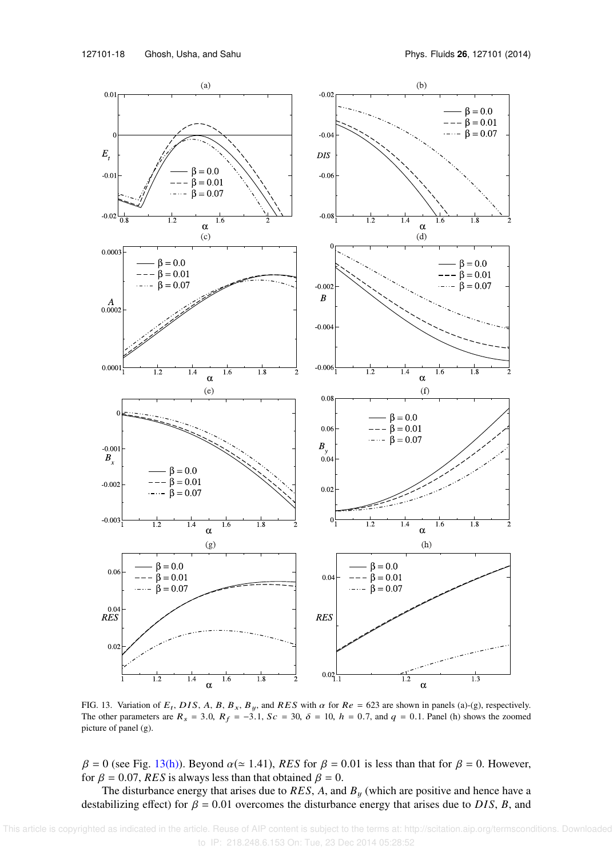

FIG. 13. Variation of  $E_t$ , DIS, A, B,  $B_x$ , B<sub>y</sub>, and RES with  $\alpha$  for  $Re = 623$  are shown in panels (a)-(g), respectively. The other parameters are  $R_s = 3.0$ ,  $R_f = -3.1$ ,  $Sc = 30$ ,  $\delta = 10$ ,  $h = 0.7$ , and  $q = 0.1$ . Panel (h) shows the zoomed picture of panel (g).

 $β = 0$  (see Fig. 13(h)). Beyond  $α(≈ 1.41)$ , *RES* for  $β = 0.01$  is less than that for  $β = 0$ . However, for  $\beta = 0.07$ , *RES* is always less than that obtained  $\beta = 0$ .

The disturbance energy that arises due to  $RES$ ,  $A$ , and  $B<sub>y</sub>$  (which are positive and hence have a destabilizing effect) for  $\beta = 0.01$  overcomes the disturbance energy that arises due to *DIS*, *B*, and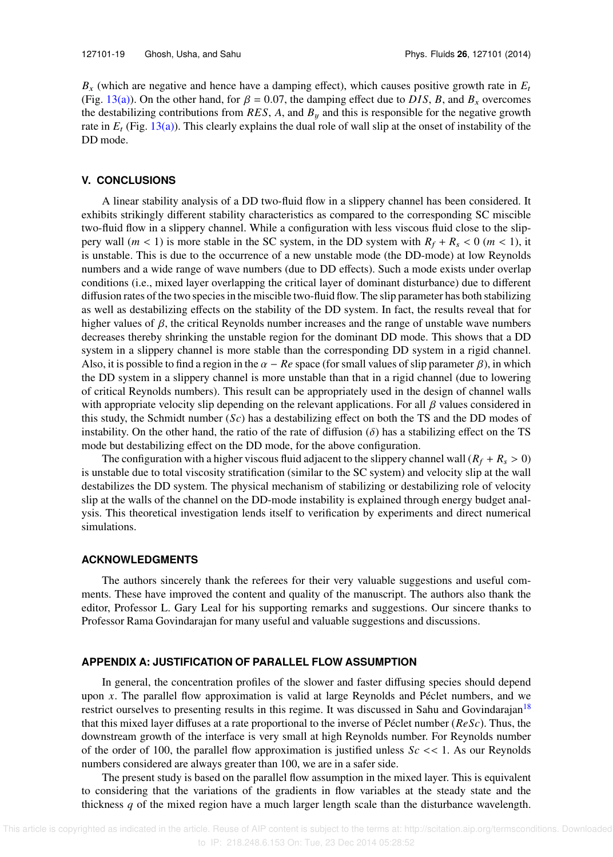$B_x$  (which are negative and hence have a damping effect), which causes positive growth rate in  $E_t$ (Fig. 13(a)). On the other hand, for  $\beta = 0.07$ , the damping effect due to *DIS*, *B*, and *B<sub>x</sub>* overcomes the destabilizing contributions from  $RES$ , *A*, and  $B<sub>y</sub>$  and this is responsible for the negative growth rate in  $E_t$  (Fig. 13(a)). This clearly explains the dual role of wall slip at the onset of instability of the DD mode.

## **V. CONCLUSIONS**

A linear stability analysis of a DD two-fluid flow in a slippery channel has been considered. It exhibits strikingly different stability characteristics as compared to the corresponding SC miscible two-fluid flow in a slippery channel. While a configuration with less viscous fluid close to the slippery wall  $(m < 1)$  is more stable in the SC system, in the DD system with  $R_f + R_s < 0$   $(m < 1)$ , it is unstable. This is due to the occurrence of a new unstable mode (the DD-mode) at low Reynolds numbers and a wide range of wave numbers (due to DD effects). Such a mode exists under overlap conditions (i.e., mixed layer overlapping the critical layer of dominant disturbance) due to different diffusion rates of the two species in the miscible two-fluid flow. The slip parameter has both stabilizing as well as destabilizing effects on the stability of the DD system. In fact, the results reveal that for higher values of  $\beta$ , the critical Reynolds number increases and the range of unstable wave numbers decreases thereby shrinking the unstable region for the dominant DD mode. This shows that a DD system in a slippery channel is more stable than the corresponding DD system in a rigid channel. Also, it is possible to find a region in the  $\alpha - Re$  space (for small values of slip parameter  $\beta$ ), in which the DD system in a slippery channel is more unstable than that in a rigid channel (due to lowering of critical Reynolds numbers). This result can be appropriately used in the design of channel walls with appropriate velocity slip depending on the relevant applications. For all  $\beta$  values considered in this study, the Schmidt number (*Sc*) has a destabilizing effect on both the TS and the DD modes of instability. On the other hand, the ratio of the rate of diffusion ( $\delta$ ) has a stabilizing effect on the TS mode but destabilizing effect on the DD mode, for the above configuration.

The configuration with a higher viscous fluid adjacent to the slippery channel wall  $(R_f + R_s > 0)$ is unstable due to total viscosity stratification (similar to the SC system) and velocity slip at the wall destabilizes the DD system. The physical mechanism of stabilizing or destabilizing role of velocity slip at the walls of the channel on the DD-mode instability is explained through energy budget analysis. This theoretical investigation lends itself to verification by experiments and direct numerical simulations.

## **ACKNOWLEDGMENTS**

The authors sincerely thank the referees for their very valuable suggestions and useful comments. These have improved the content and quality of the manuscript. The authors also thank the editor, Professor L. Gary Leal for his supporting remarks and suggestions. Our sincere thanks to Professor Rama Govindarajan for many useful and valuable suggestions and discussions.

## **APPENDIX A: JUSTIFICATION OF PARALLEL FLOW ASSUMPTION**

In general, the concentration profiles of the slower and faster diffusing species should depend upon *x*. The parallel flow approximation is valid at large Reynolds and Péclet numbers, and we restrict ourselves to presenting results in this regime. It was discussed in Sahu and Govindarajan<sup>18</sup> that this mixed layer diffuses at a rate proportional to the inverse of Péclet number (*ReSc*). Thus, the downstream growth of the interface is very small at high Reynolds number. For Reynolds number of the order of 100, the parallel flow approximation is justified unless  $Sc \ll 1$ . As our Reynolds numbers considered are always greater than 100, we are in a safer side.

The present study is based on the parallel flow assumption in the mixed layer. This is equivalent to considering that the variations of the gradients in flow variables at the steady state and the thickness *q* of the mixed region have a much larger length scale than the disturbance wavelength.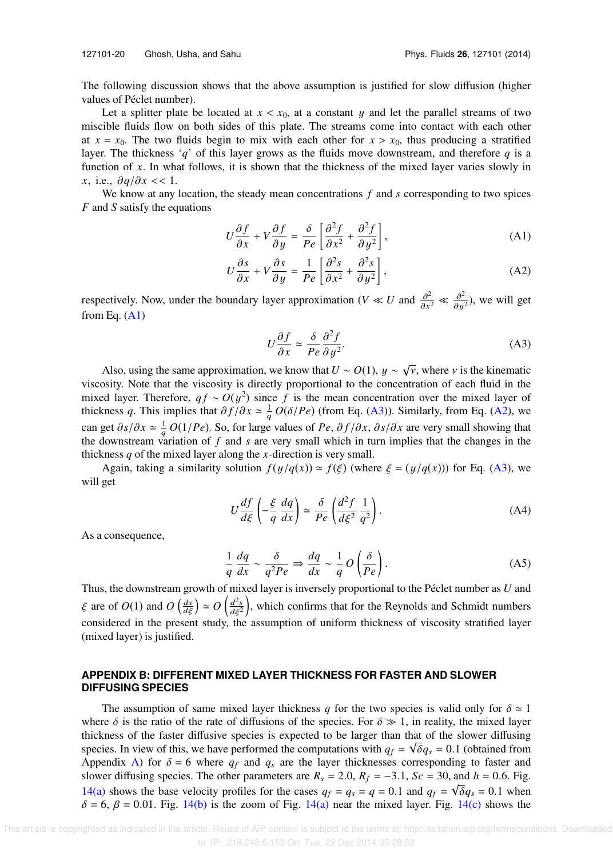127101-20 Ghosh, Usha, and Sahu Phys. Fluids **26**, 127101 (2014)

The following discussion shows that the above assumption is justified for slow diffusion (higher values of Péclet number).

Let a splitter plate be located at  $x < x_0$ , at a constant y and let the parallel streams of two miscible fluids flow on both sides of this plate. The streams come into contact with each other at  $x = x_0$ . The two fluids begin to mix with each other for  $x > x_0$ , thus producing a stratified layer. The thickness '*q*' of this layer grows as the fluids move downstream, and therefore *q* is a function of *x*. In what follows, it is shown that the thickness of the mixed layer varies slowly in *x*, i.e.,  $\partial q/\partial x \ll 1$ .

We know at any location, the steady mean concentrations *f* and *s* corresponding to two spices *F* and *S* satisfy the equations

$$
U\frac{\partial f}{\partial x} + V\frac{\partial f}{\partial y} = \frac{\delta}{Pe} \left[ \frac{\partial^2 f}{\partial x^2} + \frac{\partial^2 f}{\partial y^2} \right],
$$
 (A1)

$$
U\frac{\partial s}{\partial x} + V\frac{\partial s}{\partial y} = \frac{1}{Pe} \left[ \frac{\partial^2 s}{\partial x^2} + \frac{\partial^2 s}{\partial y^2} \right],
$$
 (A2)

respectively. Now, under the boundary layer approximation (*V* ≪ *U* and  $\frac{\partial^2}{\partial x^2}$  $\frac{\partial^2}{\partial x^2} \ll \frac{\partial^2}{\partial y^2}$  $\frac{\partial^2}{\partial y^2}$ ), we will get from Eq.  $(A1)$ 

$$
U\frac{\partial f}{\partial x} \simeq \frac{\delta}{Pe} \frac{\partial^2 f}{\partial y^2}.
$$
 (A3)

Also, using the same approximation, we know that  $U \sim O(1)$ ,  $y \sim \sqrt{v}$ , where v is the kinematic viscosity. Note that the viscosity is directly proportional to the concentration of each fluid in the mixed layer. Therefore,  $q f \sim O(y^2)$  since *f* is the mean concentration over the mixed layer of thickness *q*. This implies that  $\partial f/\partial x \simeq \frac{1}{q} O(\delta/Pe)$  (from Eq. (A3)). Similarly, from Eq. (A2), we can get  $\partial s/\partial x \simeq \frac{1}{q} O(1/Pe)$ . So, for large values of *Pe*,  $\partial f/\partial x$ ,  $\partial s/\partial x$  are very small showing that the downstream variation of *f* and *s* are very small which in turn implies that the changes in the thickness *q* of the mixed layer along the *x*-direction is very small.

Again, taking a similarity solution  $f(y/q(x)) \approx f(\xi)$  (where  $\xi = (y/q(x))$ ) for Eq. (A3), we will get

$$
U\frac{df}{d\xi}\left(-\frac{\xi}{q}\frac{dq}{dx}\right) \simeq \frac{\delta}{Pe}\left(\frac{d^2f}{d\xi^2}\frac{1}{q^2}\right). \tag{A4}
$$

As a consequence,

$$
\frac{1}{q}\frac{dq}{dx} \sim \frac{\delta}{q^2Pe} \Rightarrow \frac{dq}{dx} \sim \frac{1}{q}O\left(\frac{\delta}{Pe}\right).
$$
 (A5)

Thus, the downstream growth of mixed layer is inversely proportional to the Péclet number as *U* and  $\xi$  are of  $O(1)$  and  $O\left(\frac{ds}{d\xi}\right) \simeq O\left(\frac{d^2s}{d\xi^2}\right)$  $\frac{d^2s}{dt^2}$ , which confirms that for the Reynolds and Schmidt numbers considered in the present study, the assumption of uniform thickness of viscosity stratified layer (mixed layer) is justified.

## **APPENDIX B: DIFFERENT MIXED LAYER THICKNESS FOR FASTER AND SLOWER DIFFUSING SPECIES**

The assumption of same mixed layer thickness *q* for the two species is valid only for  $\delta \approx 1$ where  $\delta$  is the ratio of the rate of diffusions of the species. For  $\delta \gg 1$ , in reality, the mixed layer thickness of the faster diffusive species is expected to be larger than that of the slower diffusing species. In view of this, we have performed the computations with  $q_f = \sqrt{\delta q_s} = 0.1$  (obtained from Appendix A) for  $\delta = 6$  where  $q_f$  and  $q_s$  are the layer thicknesses corresponding to faster and slower diffusing species. The other parameters are  $R_s = 2.0$ ,  $R_f = -3.1$ ,  $Sc = 30$ , and  $h = 0.6$ . Fig. 14(a) shows the base velocity profiles for the cases  $q_f = q_s = q = 0.1$  and  $q_f = \sqrt{\delta}q_s = 0.1$  when  $\delta = 6$ ,  $\beta = 0.01$ . Fig. 14(b) is the zoom of Fig. 14(a) near the mixed layer. Fig. 14(c) shows the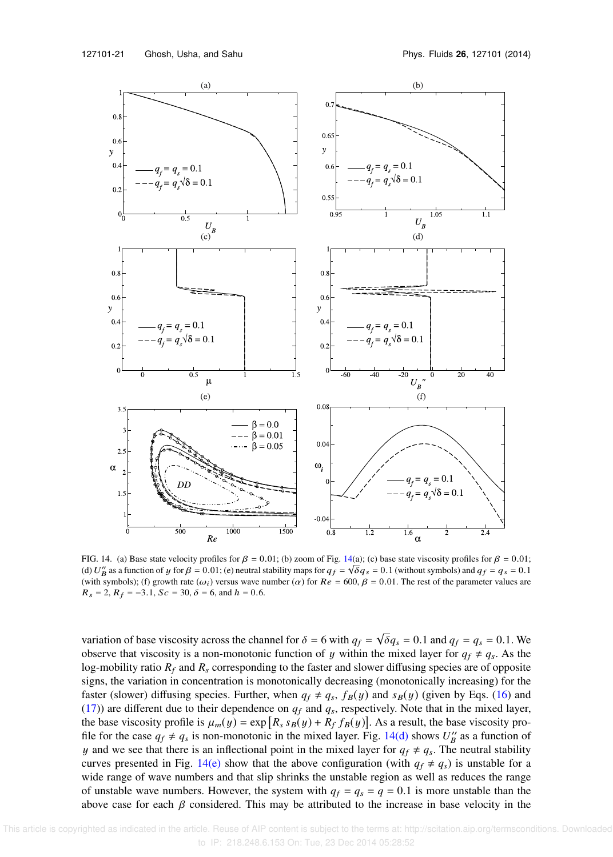

FIG. 14. (a) Base state velocity profiles for  $\beta = 0.01$ ; (b) zoom of Fig. 14(a); (c) base state viscosity profiles for  $\beta = 0.01$ ; (d)  $U''_B$  as a function of y for  $\beta = 0.01$ ; (e) neutral stability maps for  $q_f = \sqrt{\delta q_s} = 0.1$  (without symbols) and  $q_f = q_s = 0.1$ (with symbols); (f) growth rate  $(\omega_i)$  versus wave number  $(\alpha)$  for  $Re = 600$ ,  $\beta = 0.01$ . The rest of the parameter values are  $R_s = 2$ ,  $R_f = -3.1$ ,  $Sc = 30$ ,  $\delta = 6$ , and  $h = 0.6$ .

variation of base viscosity across the channel for  $\delta = 6$  with  $q_f = \sqrt{\delta}q_s = 0.1$  and  $q_f = q_s = 0.1$ . We observe that viscosity is a non-monotonic function of y within the mixed layer for  $q_f \neq q_s$ . As the log-mobility ratio  $R_f$  and  $R_s$  corresponding to the faster and slower diffusing species are of opposite signs, the variation in concentration is monotonically decreasing (monotonically increasing) for the faster (slower) diffusing species. Further, when  $q_f \neq q_s$ ,  $f_B(y)$  and  $s_B(y)$  (given by Eqs. (16) and (17)) are different due to their dependence on  $q_f$  and  $q_s$ , respectively. Note that in the mixed layer, the base viscosity profile is  $\mu_m(y) = \exp[R_s s_B(y) + R_f f_B(y)]$ . As a result, the base viscosity profile for the case  $q_f \neq q_s$  is non-monotonic in the mixed layer. Fig. 14(d) shows  $U''_B$  as a function of y and we see that there is an inflectional point in the mixed layer for  $q_f \neq q_s$ . The neutral stability curves presented in Fig. 14(e) show that the above configuration (with  $q_f \neq q_s$ ) is unstable for a wide range of wave numbers and that slip shrinks the unstable region as well as reduces the range of unstable wave numbers. However, the system with  $q_f = q_s = q = 0.1$  is more unstable than the above case for each  $\beta$  considered. This may be attributed to the increase in base velocity in the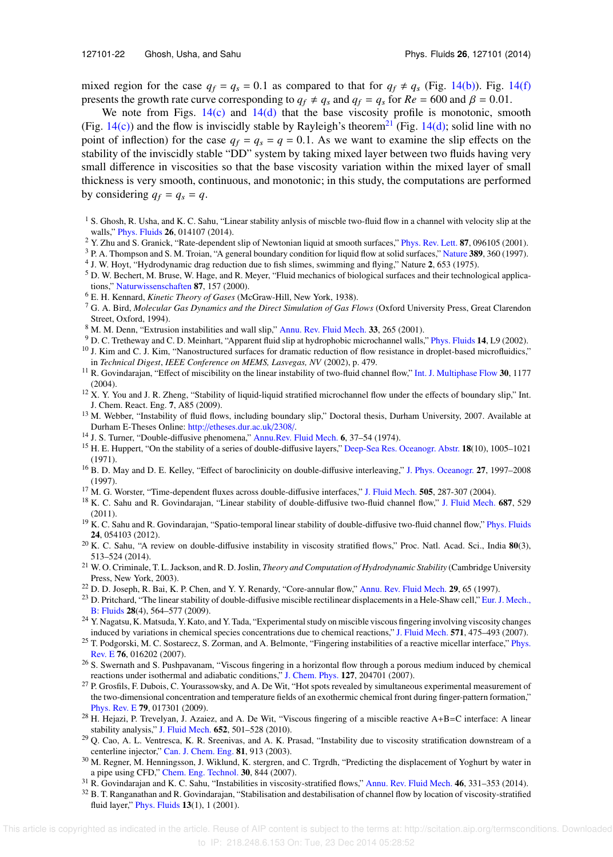mixed region for the case  $q_f = q_s = 0.1$  as compared to that for  $q_f \neq q_s$  (Fig. 14(b)). Fig. 14(f) presents the growth rate curve corresponding to  $q_f \neq q_s$  and  $q_f = q_s$  for  $Re = 600$  and  $\beta = 0.01$ .

We note from Figs.  $14(c)$  and  $14(d)$  that the base viscosity profile is monotonic, smooth (Fig. 14(c)) and the flow is inviscidly stable by Rayleigh's theorem<sup>21</sup> (Fig. 14(d); solid line with no point of inflection) for the case  $q_f = q_s = q = 0.1$ . As we want to examine the slip effects on the stability of the inviscidly stable "DD" system by taking mixed layer between two fluids having very small difference in viscosities so that the base viscosity variation within the mixed layer of small thickness is very smooth, continuous, and monotonic; in this study, the computations are performed by considering  $q_f = q_s = q$ .

- <sup>1</sup> S. Ghosh, R. Usha, and K. C. Sahu, "Linear stability anlysis of miscble two-fluid flow in a channel with velocity slip at the walls," Phys. Fluids 26, 014107 (2014).
- <sup>2</sup> Y. Zhu and S. Granick, "Rate-dependent slip of Newtonian liquid at smooth surfaces," Phys. Rev. Lett. 87, 096105 (2001).
- <sup>3</sup> P. A. Thompson and S. M. Troian, "A general boundary condition for liquid flow at solid surfaces," Nature 389, 360 (1997).
- 4 J. W. Hoyt, "Hydrodynamic drag reduction due to fish slimes, swimming and flying," Nature 2, 653 (1975).
- <sup>5</sup> D. W. Bechert, M. Bruse, W. Hage, and R. Meyer, "Fluid mechanics of biological surfaces and their technological applications," Naturwissenschaften 87, 157 (2000).
- <sup>6</sup> E. H. Kennard, *Kinetic Theory of Gases* (McGraw-Hill, New York, 1938).
- <sup>7</sup> G. A. Bird, *Molecular Gas Dynamics and the Direct Simulation of Gas Flows* (Oxford University Press, Great Clarendon Street, Oxford, 1994).
- <sup>8</sup> M. M. Denn, "Extrusion instabilities and wall slip," Annu. Rev. Fluid Mech. 33, 265 (2001).
- <sup>9</sup> D. C. Tretheway and C. D. Meinhart, "Apparent fluid slip at hydrophobic microchannel walls," Phys. Fluids 14, L9 (2002).
- $10$  J. Kim and C. J. Kim, "Nanostructured surfaces for dramatic reduction of flow resistance in droplet-based microfluidics," in *Technical Digest*, *IEEE Conference on MEMS, Lasvegas, NV* (2002), p. 479.
- <sup>11</sup> R. Govindarajan, "Effect of miscibility on the linear instability of two-fluid channel flow," Int. J. Multiphase Flow 30, 1177 (2004).
- <sup>12</sup> X. Y. You and J. R. Zheng, "Stability of liquid-liquid stratified microchannel flow under the effects of boundary slip," Int. J. Chem. React. Eng. 7, A85 (2009).
- <sup>13</sup> M. Webber, "Instability of fluid flows, including boundary slip," Doctoral thesis, Durham University, 2007. Available at Durham E-Theses Online: http://etheses.dur.ac.uk/2308/.
- <sup>14</sup> J. S. Turner, "Double-diffusive phenomena," Annu.Rev. Fluid Mech. 6, 37–54 (1974).
- <sup>15</sup> H. E. Huppert, "On the stability of a series of double-diffusive layers," Deep-Sea Res. Oceanogr. Abstr. 18(10), 1005–1021 (1971).
- <sup>16</sup> B. D. May and D. E. Kelley, "Effect of baroclinicity on double-diffusive interleaving," J. Phys. Oceanogr. 27, 1997–2008 (1997).
- <sup>17</sup> M. G. Worster, "Time-dependent fluxes across double-diffusive interfaces," J. Fluid Mech. 505, 287-307 (2004).
- <sup>18</sup> K. C. Sahu and R. Govindarajan, "Linear stability of double-diffusive two-fluid channel flow," J. Fluid Mech. 687, 529 (2011).
- $19$  K. C. Sahu and R. Govindarajan, "Spatio-temporal linear stability of double-diffusive two-fluid channel flow," Phys. Fluids 24, 054103 (2012).
- $^{20}$  K. C. Sahu, "A review on double-diffusive instability in viscosity stratified flows," Proc. Natl. Acad. Sci., India  $80(3)$ , 513–524 (2014).
- <sup>21</sup> W. O. Criminale, T. L. Jackson, and R. D. Joslin, *Theory and Computation of Hydrodynamic Stability* (Cambridge University Press, New York, 2003).
- $22$  D. D. Joseph, R. Bai, K. P. Chen, and Y. Y. Renardy, "Core-annular flow," Annu. Rev. Fluid Mech. 29, 65 (1997).
- <sup>23</sup> D. Pritchard, "The linear stability of double-diffusive miscible rectilinear displacements in a Hele-Shaw cell," Eur. J. Mech., B: Fluids 28(4), 564–577 (2009).
- <sup>24</sup> Y. Nagatsu, K. Matsuda, Y. Kato, and Y. Tada, "Experimental study on miscible viscous fingering involving viscosity changes induced by variations in chemical species concentrations due to chemical reactions," J. Fluid Mech. 571, 475–493 (2007).
- <sup>25</sup> T. Podgorski, M. C. Sostarecz, S. Zorman, and A. Belmonte, "Fingering instabilities of a reactive micellar interface," Phys. Rev. E 76, 016202 (2007).
- <sup>26</sup> S. Swernath and S. Pushpavanam, "Viscous fingering in a horizontal flow through a porous medium induced by chemical reactions under isothermal and adiabatic conditions," J. Chem. Phys. 127, 204701 (2007).
- <sup>27</sup> P. Grosfils, F. Dubois, C. Yourassowsky, and A. De Wit, "Hot spots revealed by simultaneous experimental measurement of the two-dimensional concentration and temperature fields of an exothermic chemical front during finger-pattern formation," Phys. Rev. E 79, 017301 (2009).
- $^{28}$  H. Hejazi, P. Trevelyan, J. Azaiez, and A. De Wit, "Viscous fingering of a miscible reactive A+B=C interface: A linear stability analysis," J. Fluid Mech. 652, 501–528 (2010).
- $29$  Q. Cao, A. L. Ventresca, K. R. Sreenivas, and A. K. Prasad, "Instability due to viscosity stratification downstream of a centerline injector," Can. J. Chem. Eng. 81, 913 (2003).
- <sup>30</sup> M. Regner, M. Henningsson, J. Wiklund, K. stergren, and C. Trgrdh, "Predicting the displacement of Yoghurt by water in a pipe using CFD," Chem. Eng. Technol. 30, 844 (2007).
- <sup>31</sup> R. Govindarajan and K. C. Sahu, "Instabilities in viscosity-stratified flows," Annu. Rev. Fluid Mech. 46, 331-353 (2014).
- $32$  B. T. Ranganathan and R. Govindarajan, "Stabilisation and destabilisation of channel flow by location of viscosity-stratified fluid layer," Phys. Fluids 13(1), 1 (2001).